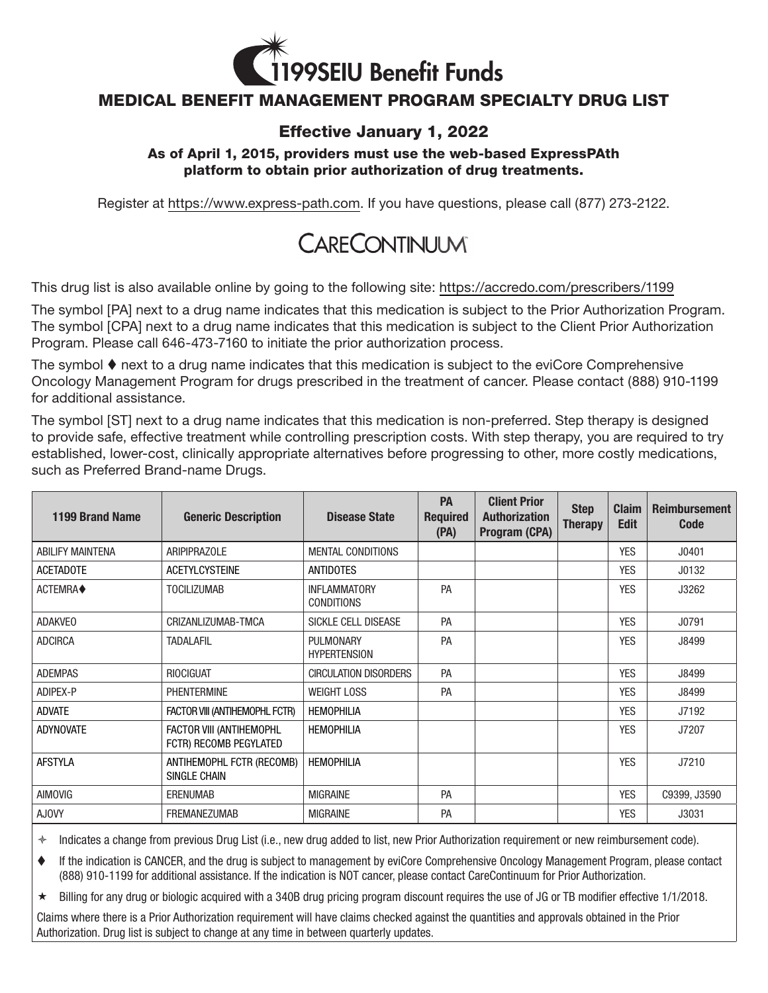

## MEDICAL BENEFIT MANAGEMENT PROGRAM SPECIALTY DRUG LIST

## Effective January 1, 2022

## As of April 1, 2015, providers must use the web-based ExpressPAth platform to obtain prior authorization of drug treatments.

Register at<https://www.express-path.com>. If you have questions, please call (877) 273-2122.

## CARECONTINUUM

This drug list is also available online by going to the following site:<https://accredo.com/prescribers/1199>

The symbol [PA] next to a drug name indicates that this medication is subject to the Prior Authorization Program. The symbol [CPA] next to a drug name indicates that this medication is subject to the Client Prior Authorization Program. Please call 646-473-7160 to initiate the prior authorization process.

The symbol  $\blacklozenge$  next to a drug name indicates that this medication is subject to the eviCore Comprehensive Oncology Management Program for drugs prescribed in the treatment of cancer. Please contact (888) 910-1199 for additional assistance.

The symbol [ST] next to a drug name indicates that this medication is non-preferred. Step therapy is designed to provide safe, effective treatment while controlling prescription costs. With step therapy, you are required to try established, lower-cost, clinically appropriate alternatives before progressing to other, more costly medications, such as Preferred Brand-name Drugs.

| 1199 Brand Name         | <b>Generic Description</b>                         | <b>Disease State</b>                     | <b>PA</b><br><b>Required</b><br>(PA) | <b>Client Prior</b><br><b>Authorization</b><br>Program (CPA) | <b>Step</b><br><b>Therapy</b> | <b>Claim</b><br><b>Edit</b> | <b>Reimbursement</b><br><b>Code</b> |
|-------------------------|----------------------------------------------------|------------------------------------------|--------------------------------------|--------------------------------------------------------------|-------------------------------|-----------------------------|-------------------------------------|
| <b>ABILIFY MAINTENA</b> | <b>ARIPIPRAZOLE</b>                                | <b>MENTAL CONDITIONS</b>                 |                                      |                                                              |                               | <b>YES</b>                  | J0401                               |
| <b>ACETADOTE</b>        | <b>ACETYLCYSTEINE</b>                              | <b>ANTIDOTES</b>                         |                                      |                                                              |                               | <b>YES</b>                  | J0132                               |
| ACTEMRA◆                | <b>TOCILIZUMAB</b>                                 | <b>INFLAMMATORY</b><br><b>CONDITIONS</b> | PA                                   |                                                              |                               | <b>YES</b>                  | J3262                               |
| <b>ADAKVEO</b>          | CRIZANLIZUMAB-TMCA                                 | SICKLE CELL DISEASE                      | PA                                   |                                                              |                               | <b>YES</b>                  | J0791                               |
| <b>ADCIRCA</b>          | <b>TADALAFIL</b>                                   | <b>PULMONARY</b><br><b>HYPERTENSION</b>  | PA                                   |                                                              |                               | <b>YES</b>                  | J8499                               |
| <b>ADEMPAS</b>          | <b>RIOCIGUAT</b>                                   | <b>CIRCULATION DISORDERS</b>             | PA                                   |                                                              |                               | <b>YES</b>                  | J8499                               |
| ADIPEX-P                | <b>PHENTERMINE</b>                                 | <b>WEIGHT LOSS</b>                       | <b>PA</b>                            |                                                              |                               | <b>YES</b>                  | J8499                               |
| <b>ADVATE</b>           | FACTOR VIII (ANTIHEMOPHL FCTR)                     | <b>HEMOPHILIA</b>                        |                                      |                                                              |                               | <b>YES</b>                  | J7192                               |
| <b>ADYNOVATE</b>        | FACTOR VIII (ANTIHEMOPHL<br>FCTR) RECOMB PEGYLATED | <b>HEMOPHILIA</b>                        |                                      |                                                              |                               | <b>YES</b>                  | J7207                               |
| <b>AFSTYLA</b>          | ANTIHEMOPHL FCTR (RECOMB)<br>SINGLE CHAIN          | <b>HEMOPHILIA</b>                        |                                      |                                                              |                               | <b>YES</b>                  | J7210                               |
| <b>AIMOVIG</b>          | <b>ERENUMAB</b>                                    | <b>MIGRAINE</b>                          | <b>PA</b>                            |                                                              |                               | <b>YES</b>                  | C9399, J3590                        |
| <b>AJOVY</b>            | <b>FREMANEZUMAB</b>                                | <b>MIGRAINE</b>                          | <b>PA</b>                            |                                                              |                               | <b>YES</b>                  | J3031                               |

 $\ast$  Indicates a change from previous Drug List (i.e., new drug added to list, new Prior Authorization requirement or new reimbursement code).

 If the indication is CANCER, and the drug is subject to management by eviCore Comprehensive Oncology Management Program, please contact (888) 910-1199 for additional assistance. If the indication is NOT cancer, please contact CareContinuum for Prior Authorization.

 $\star$  Billing for any drug or biologic acquired with a 340B drug pricing program discount requires the use of JG or TB modifier effective 1/1/2018.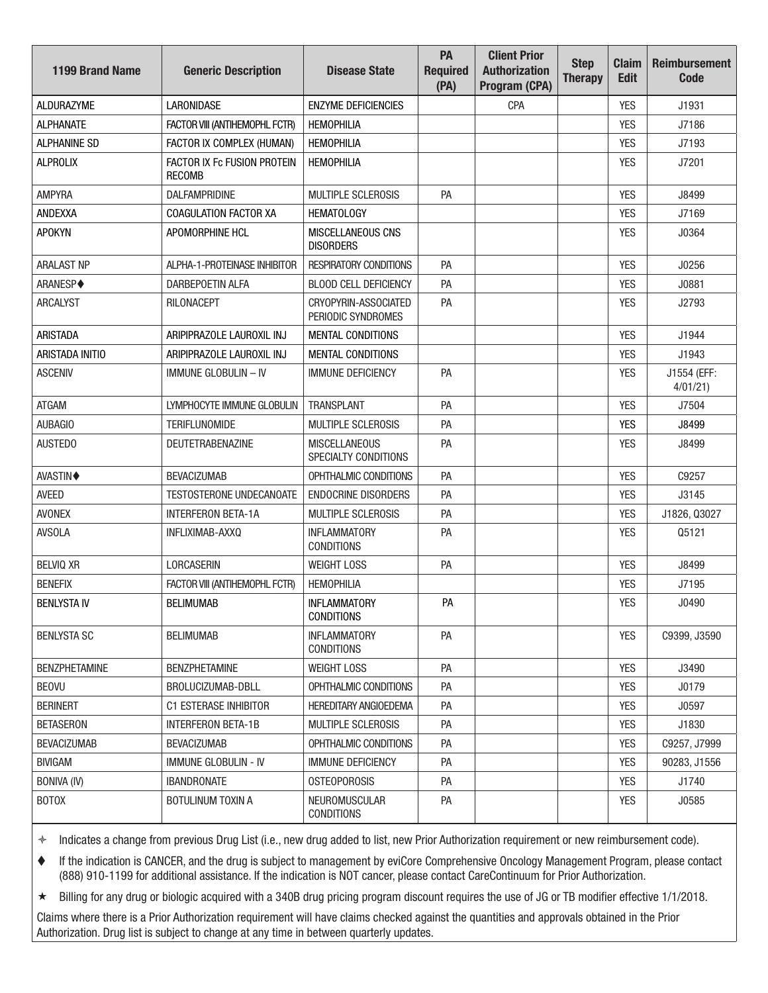| <b>1199 Brand Name</b> | <b>Generic Description</b>                   | <b>Disease State</b>                         | PA<br><b>Required</b><br>(PA) | <b>Client Prior</b><br><b>Authorization</b><br>Program (CPA) | <b>Step</b><br><b>Therapy</b> | <b>Claim</b><br><b>Edit</b> | <b>Reimbursement</b><br><b>Code</b> |
|------------------------|----------------------------------------------|----------------------------------------------|-------------------------------|--------------------------------------------------------------|-------------------------------|-----------------------------|-------------------------------------|
| <b>ALDURAZYME</b>      | <b>LARONIDASE</b>                            | <b>ENZYME DEFICIENCIES</b>                   |                               | CPA                                                          |                               | <b>YES</b>                  | J1931                               |
| <b>ALPHANATE</b>       | FACTOR VIII (ANTIHEMOPHL FCTR)               | <b>HEMOPHILIA</b>                            |                               |                                                              |                               | <b>YES</b>                  | J7186                               |
| <b>ALPHANINE SD</b>    | FACTOR IX COMPLEX (HUMAN)                    | <b>HEMOPHILIA</b>                            |                               |                                                              |                               | <b>YES</b>                  | J7193                               |
| <b>ALPROLIX</b>        | FACTOR IX Fc FUSION PROTEIN<br><b>RECOMB</b> | <b>HEMOPHILIA</b>                            |                               |                                                              |                               | <b>YES</b>                  | J7201                               |
| <b>AMPYRA</b>          | DALFAMPRIDINE                                | <b>MULTIPLE SCLEROSIS</b>                    | PA                            |                                                              |                               | <b>YES</b>                  | J8499                               |
| ANDEXXA                | COAGULATION FACTOR XA                        | <b>HEMATOLOGY</b>                            |                               |                                                              |                               | <b>YES</b>                  | J7169                               |
| <b>APOKYN</b>          | APOMORPHINE HCL                              | MISCELLANEOUS CNS<br><b>DISORDERS</b>        |                               |                                                              |                               | <b>YES</b>                  | J0364                               |
| <b>ARALAST NP</b>      | ALPHA-1-PROTEINASE INHIBITOR                 | <b>RESPIRATORY CONDITIONS</b>                | PA                            |                                                              |                               | <b>YES</b>                  | J0256                               |
| ARANESP◆               | DARBEPOETIN ALFA                             | <b>BLOOD CELL DEFICIENCY</b>                 | PA                            |                                                              |                               | <b>YES</b>                  | J0881                               |
| <b>ARCALYST</b>        | RILONACEPT                                   | CRYOPYRIN-ASSOCIATED<br>PERIODIC SYNDROMES   | PA                            |                                                              |                               | <b>YES</b>                  | J2793                               |
| <b>ARISTADA</b>        | ARIPIPRAZOLE LAUROXIL INJ                    | <b>MENTAL CONDITIONS</b>                     |                               |                                                              |                               | <b>YES</b>                  | J1944                               |
| ARISTADA INITIO        | ARIPIPRAZOLE LAUROXIL INJ                    | <b>MENTAL CONDITIONS</b>                     |                               |                                                              |                               | <b>YES</b>                  | J1943                               |
| <b>ASCENIV</b>         | <b>IMMUNE GLOBULIN - IV</b>                  | <b>IMMUNE DEFICIENCY</b>                     | PA                            |                                                              |                               | <b>YES</b>                  | J1554 (EFF:<br>4/01/21              |
| <b>ATGAM</b>           | LYMPHOCYTE IMMUNE GLOBULIN                   | <b>TRANSPLANT</b>                            | PA                            |                                                              |                               | <b>YES</b>                  | J7504                               |
| AUBAGIO                | <b>TERIFLUNOMIDE</b>                         | <b>MULTIPLE SCLEROSIS</b>                    | PA                            |                                                              |                               | <b>YES</b>                  | J8499                               |
| <b>AUSTEDO</b>         | <b>DEUTETRABENAZINE</b>                      | <b>MISCELLANEOUS</b><br>SPECIALTY CONDITIONS | PA                            |                                                              |                               | <b>YES</b>                  | J8499                               |
| <b>AVASTIN♦</b>        | <b>BEVACIZUMAB</b>                           | OPHTHALMIC CONDITIONS                        | PA                            |                                                              |                               | <b>YES</b>                  | C9257                               |
| <b>AVEED</b>           | <b>TESTOSTERONE UNDECANOATE</b>              | <b>ENDOCRINE DISORDERS</b>                   | PA                            |                                                              |                               | <b>YES</b>                  | J3145                               |
| <b>AVONEX</b>          | <b>INTERFERON BETA-1A</b>                    | MULTIPLE SCLEROSIS                           | PA                            |                                                              |                               | <b>YES</b>                  | J1826, Q3027                        |
| <b>AVSOLA</b>          | INFLIXIMAB-AXXQ                              | <b>INFLAMMATORY</b><br><b>CONDITIONS</b>     | PA                            |                                                              |                               | <b>YES</b>                  | Q5121                               |
| <b>BELVIQ XR</b>       | LORCASERIN                                   | <b>WEIGHT LOSS</b>                           | PA                            |                                                              |                               | <b>YES</b>                  | J8499                               |
| <b>BENEFIX</b>         | FACTOR VIII (ANTIHEMOPHL FCTR)               | <b>HEMOPHILIA</b>                            |                               |                                                              |                               | <b>YES</b>                  | J7195                               |
| <b>BENLYSTA IV</b>     | <b>BELIMUMAB</b>                             | <b>INFLAMMATORY</b><br><b>CONDITIONS</b>     | PA                            |                                                              |                               | <b>YES</b>                  | J0490                               |
| <b>BENLYSTA SC</b>     | <b>BELIMUMAB</b>                             | <b>INFLAMMATORY</b><br><b>CONDITIONS</b>     | PA                            |                                                              |                               | <b>YES</b>                  | C9399, J3590                        |
| <b>BENZPHETAMINE</b>   | <b>BENZPHETAMINE</b>                         | <b>WEIGHT LOSS</b>                           | PA                            |                                                              |                               | <b>YES</b>                  | J3490                               |
| <b>BEOVU</b>           | BROLUCIZUMAB-DBLL                            | OPHTHALMIC CONDITIONS                        | PA                            |                                                              |                               | <b>YES</b>                  | J0179                               |
| <b>BERINERT</b>        | <b>C1 ESTERASE INHIBITOR</b>                 | <b>HEREDITARY ANGIOEDEMA</b>                 | PA                            |                                                              |                               | <b>YES</b>                  | J0597                               |
| <b>BETASERON</b>       | <b>INTERFERON BETA-1B</b>                    | <b>MULTIPLE SCLEROSIS</b>                    | PA                            |                                                              |                               | <b>YES</b>                  | J1830                               |
| <b>BEVACIZUMAB</b>     | <b>BEVACIZUMAB</b>                           | OPHTHALMIC CONDITIONS                        | PA                            |                                                              |                               | <b>YES</b>                  | C9257, J7999                        |
| <b>BIVIGAM</b>         | IMMUNE GLOBULIN - IV                         | <b>IMMUNE DEFICIENCY</b>                     | PA                            |                                                              |                               | <b>YES</b>                  | 90283, J1556                        |
| <b>BONIVA (IV)</b>     | <b>IBANDRONATE</b>                           | <b>OSTEOPOROSIS</b>                          | PA                            |                                                              |                               | <b>YES</b>                  | J1740                               |
| <b>BOTOX</b>           | <b>BOTULINUM TOXIN A</b>                     | <b>NEUROMUSCULAR</b><br><b>CONDITIONS</b>    | PA                            |                                                              |                               | <b>YES</b>                  | J0585                               |

 If the indication is CANCER, and the drug is subject to management by eviCore Comprehensive Oncology Management Program, please contact (888) 910-1199 for additional assistance. If the indication is NOT cancer, please contact CareContinuum for Prior Authorization.

Billing for any drug or biologic acquired with a 340B drug pricing program discount requires the use of JG or TB modifier effective 1/1/2018.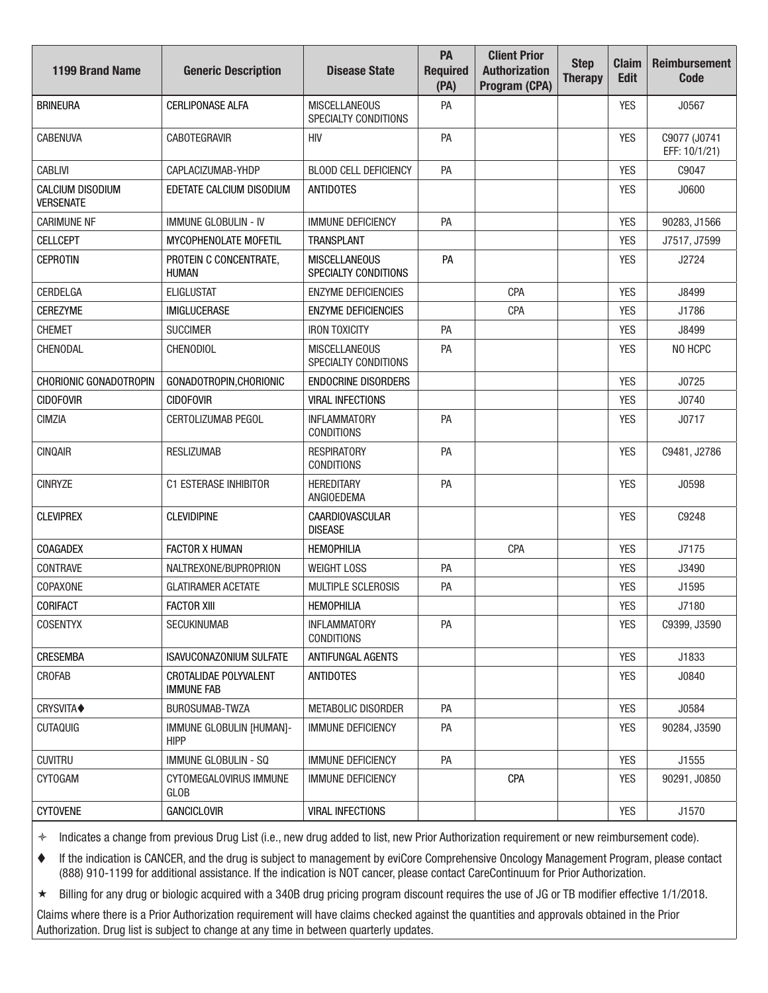| <b>1199 Brand Name</b>               | <b>Generic Description</b>                 | <b>Disease State</b>                         | PA<br><b>Required</b><br>(PA) | <b>Client Prior</b><br><b>Authorization</b><br>Program (CPA) | <b>Step</b><br><b>Therapy</b> | <b>Claim</b><br><b>Edit</b> | <b>Reimbursement</b><br><b>Code</b> |
|--------------------------------------|--------------------------------------------|----------------------------------------------|-------------------------------|--------------------------------------------------------------|-------------------------------|-----------------------------|-------------------------------------|
| <b>BRINEURA</b>                      | <b>CERLIPONASE ALFA</b>                    | <b>MISCELLANEOUS</b><br>SPECIALTY CONDITIONS | PA                            |                                                              |                               | <b>YES</b>                  | J0567                               |
| <b>CABENUVA</b>                      | <b>CABOTEGRAVIR</b>                        | HIV                                          | PA                            |                                                              |                               | <b>YES</b>                  | C9077 (J0741<br>EFF: 10/1/21)       |
| <b>CABLIVI</b>                       | CAPLACIZUMAB-YHDP                          | <b>BLOOD CELL DEFICIENCY</b>                 | PA                            |                                                              |                               | <b>YES</b>                  | C9047                               |
| CALCIUM DISODIUM<br><b>VERSENATE</b> | EDETATE CALCIUM DISODIUM                   | <b>ANTIDOTES</b>                             |                               |                                                              |                               | <b>YES</b>                  | J0600                               |
| <b>CARIMUNE NF</b>                   | <b>IMMUNE GLOBULIN - IV</b>                | <b>IMMUNE DEFICIENCY</b>                     | PA                            |                                                              |                               | <b>YES</b>                  | 90283, J1566                        |
| <b>CELLCEPT</b>                      | MYCOPHENOLATE MOFETIL                      | <b>TRANSPLANT</b>                            |                               |                                                              |                               | <b>YES</b>                  | J7517, J7599                        |
| <b>CEPROTIN</b>                      | PROTEIN C CONCENTRATE,<br><b>HUMAN</b>     | <b>MISCELLANEOUS</b><br>SPECIALTY CONDITIONS | PA                            |                                                              |                               | <b>YES</b>                  | J2724                               |
| CERDELGA                             | <b>ELIGLUSTAT</b>                          | <b>ENZYME DEFICIENCIES</b>                   |                               | CPA                                                          |                               | <b>YES</b>                  | J8499                               |
| <b>CEREZYME</b>                      | <b>IMIGLUCERASE</b>                        | <b>ENZYME DEFICIENCIES</b>                   |                               | CPA                                                          |                               | <b>YES</b>                  | J1786                               |
| <b>CHEMET</b>                        | <b>SUCCIMER</b>                            | <b>IRON TOXICITY</b>                         | PA                            |                                                              |                               | <b>YES</b>                  | J8499                               |
| CHENODAL                             | <b>CHENODIOL</b>                           | <b>MISCELLANEOUS</b><br>SPECIALTY CONDITIONS | PA                            |                                                              |                               | <b>YES</b>                  | NO HCPC                             |
| CHORIONIC GONADOTROPIN               | GONADOTROPIN, CHORIONIC                    | <b>ENDOCRINE DISORDERS</b>                   |                               |                                                              |                               | <b>YES</b>                  | J0725                               |
| <b>CIDOFOVIR</b>                     | <b>CIDOFOVIR</b>                           | <b>VIRAL INFECTIONS</b>                      |                               |                                                              |                               | <b>YES</b>                  | J0740                               |
| <b>CIMZIA</b>                        | CERTOLIZUMAB PEGOL                         | <b>INFLAMMATORY</b><br><b>CONDITIONS</b>     | PA                            |                                                              |                               | <b>YES</b>                  | J0717                               |
| <b>CINQAIR</b>                       | <b>RESLIZUMAB</b>                          | <b>RESPIRATORY</b><br><b>CONDITIONS</b>      | PA                            |                                                              |                               | <b>YES</b>                  | C9481, J2786                        |
| <b>CINRYZE</b>                       | C1 ESTERASE INHIBITOR                      | <b>HEREDITARY</b><br>ANGIOEDEMA              | PA                            |                                                              |                               | <b>YES</b>                  | J0598                               |
| <b>CLEVIPREX</b>                     | <b>CLEVIDIPINE</b>                         | <b>CAARDIOVASCULAR</b><br><b>DISEASE</b>     |                               |                                                              |                               | <b>YES</b>                  | C9248                               |
| <b>COAGADEX</b>                      | <b>FACTOR X HUMAN</b>                      | <b>HEMOPHILIA</b>                            |                               | CPA                                                          |                               | <b>YES</b>                  | J7175                               |
| CONTRAVE                             | NALTREXONE/BUPROPRION                      | <b>WEIGHT LOSS</b>                           | PA                            |                                                              |                               | <b>YES</b>                  | J3490                               |
| COPAXONE                             | <b>GLATIRAMER ACETATE</b>                  | MULTIPLE SCLEROSIS                           | PA                            |                                                              |                               | <b>YES</b>                  | J1595                               |
| CORIFACT                             | <b>FACTOR XIII</b>                         | <b>HEMOPHILIA</b>                            |                               |                                                              |                               | <b>YES</b>                  | J7180                               |
| <b>COSENTYX</b>                      | <b>SECUKINUMAB</b>                         | <b>INFLAMMATORY</b><br><b>CONDITIONS</b>     | PA                            |                                                              |                               | <b>YES</b>                  | C9399, J3590                        |
| CRESEMBA                             | <b>ISAVUCONAZONIUM SULFATE</b>             | ANTIFUNGAL AGENTS                            |                               |                                                              |                               | YES                         | J1833                               |
| CROFAB                               | CROTALIDAE POLYVALENT<br><b>IMMUNE FAB</b> | ANTIDOTES                                    |                               |                                                              |                               | YES                         | J0840                               |
| CRYSVITA◆                            | BUROSUMAB-TWZA                             | METABOLIC DISORDER                           | PA                            |                                                              |                               | <b>YES</b>                  | J0584                               |
| <b>CUTAQUIG</b>                      | IMMUNE GLOBULIN [HUMAN]-<br><b>HIPP</b>    | <b>IMMUNE DEFICIENCY</b>                     | PA                            |                                                              |                               | <b>YES</b>                  | 90284, J3590                        |
| <b>CUVITRU</b>                       | <b>IMMUNE GLOBULIN - SQ</b>                | <b>IMMUNE DEFICIENCY</b>                     | PA                            |                                                              |                               | <b>YES</b>                  | J1555                               |
| <b>CYTOGAM</b>                       | <b>CYTOMEGALOVIRUS IMMUNE</b><br>GLOB      | <b>IMMUNE DEFICIENCY</b>                     |                               | CPA                                                          |                               | YES                         | 90291, J0850                        |
| <b>CYTOVENE</b>                      | <b>GANCICLOVIR</b>                         | <b>VIRAL INFECTIONS</b>                      |                               |                                                              |                               | <b>YES</b>                  | J1570                               |

 If the indication is CANCER, and the drug is subject to management by eviCore Comprehensive Oncology Management Program, please contact (888) 910-1199 for additional assistance. If the indication is NOT cancer, please contact CareContinuum for Prior Authorization.

Billing for any drug or biologic acquired with a 340B drug pricing program discount requires the use of JG or TB modifier effective 1/1/2018.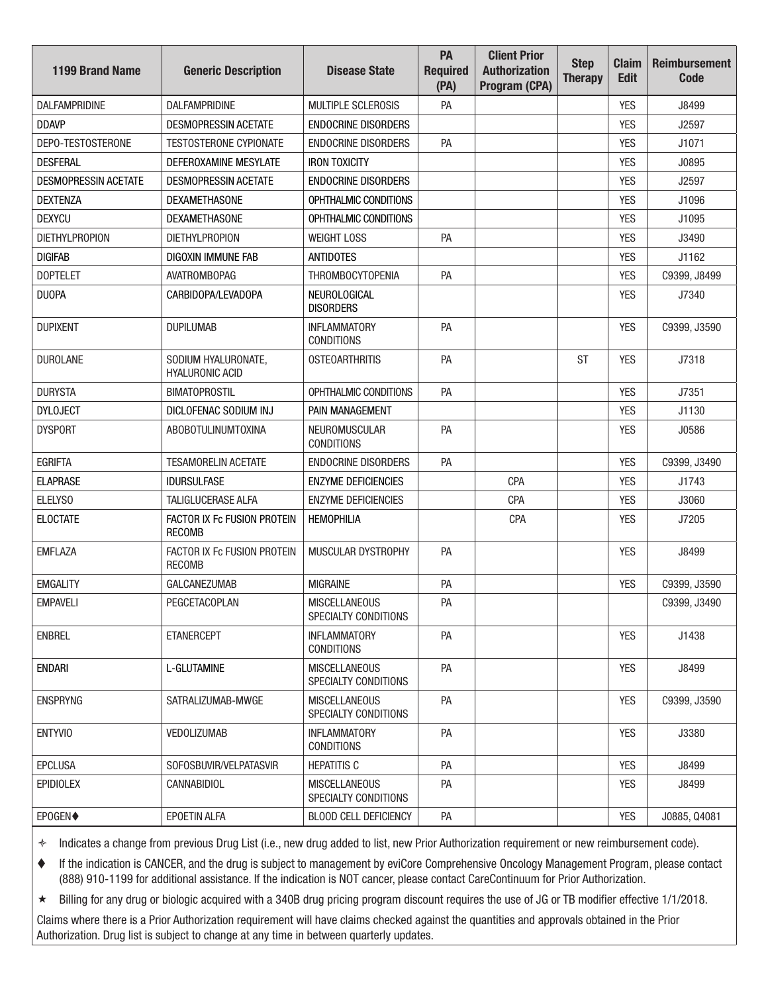| <b>1199 Brand Name</b>      | <b>Generic Description</b>                    | <b>Disease State</b>                         | PA<br><b>Required</b><br>(PA) | <b>Client Prior</b><br><b>Authorization</b><br>Program (CPA) | <b>Step</b><br><b>Therapy</b> | <b>Claim</b><br><b>Edit</b> | <b>Reimbursement</b><br>Code |
|-----------------------------|-----------------------------------------------|----------------------------------------------|-------------------------------|--------------------------------------------------------------|-------------------------------|-----------------------------|------------------------------|
| <b>DALFAMPRIDINE</b>        | <b>DALFAMPRIDINE</b>                          | <b>MULTIPLE SCLEROSIS</b>                    | PA                            |                                                              |                               | <b>YES</b>                  | J8499                        |
| <b>DDAVP</b>                | <b>DESMOPRESSIN ACETATE</b>                   | <b>ENDOCRINE DISORDERS</b>                   |                               |                                                              |                               | <b>YES</b>                  | J2597                        |
| DEPO-TESTOSTERONE           | <b>TESTOSTERONE CYPIONATE</b>                 | <b>ENDOCRINE DISORDERS</b>                   | PA                            |                                                              |                               | <b>YES</b>                  | J1071                        |
| <b>DESFERAL</b>             | DEFEROXAMINE MESYLATE                         | <b>IRON TOXICITY</b>                         |                               |                                                              |                               | <b>YES</b>                  | J0895                        |
| <b>DESMOPRESSIN ACETATE</b> | <b>DESMOPRESSIN ACETATE</b>                   | <b>ENDOCRINE DISORDERS</b>                   |                               |                                                              |                               | <b>YES</b>                  | J2597                        |
| <b>DEXTENZA</b>             | <b>DEXAMETHASONE</b>                          | OPHTHALMIC CONDITIONS                        |                               |                                                              |                               | <b>YES</b>                  | J1096                        |
| <b>DEXYCU</b>               | <b>DEXAMETHASONE</b>                          | OPHTHALMIC CONDITIONS                        |                               |                                                              |                               | <b>YES</b>                  | J1095                        |
| <b>DIETHYLPROPION</b>       | <b>DIETHYLPROPION</b>                         | <b>WEIGHT LOSS</b>                           | PA                            |                                                              |                               | <b>YES</b>                  | J3490                        |
| <b>DIGIFAB</b>              | DIGOXIN IMMUNE FAB                            | <b>ANTIDOTES</b>                             |                               |                                                              |                               | <b>YES</b>                  | J1162                        |
| <b>DOPTELET</b>             | <b>AVATROMBOPAG</b>                           | <b>THROMBOCYTOPENIA</b>                      | PA                            |                                                              |                               | <b>YES</b>                  | C9399, J8499                 |
| <b>DUOPA</b>                | CARBIDOPA/LEVADOPA                            | NEUROLOGICAL<br><b>DISORDERS</b>             |                               |                                                              |                               | <b>YES</b>                  | J7340                        |
| <b>DUPIXENT</b>             | <b>DUPILUMAB</b>                              | <b>INFLAMMATORY</b><br><b>CONDITIONS</b>     | PA                            |                                                              |                               | <b>YES</b>                  | C9399, J3590                 |
| <b>DUROLANE</b>             | SODIUM HYALURONATE,<br><b>HYALURONIC ACID</b> | <b>OSTEOARTHRITIS</b>                        | PA                            |                                                              | ST                            | <b>YES</b>                  | J7318                        |
| <b>DURYSTA</b>              | <b>BIMATOPROSTIL</b>                          | OPHTHALMIC CONDITIONS                        | PA                            |                                                              |                               | <b>YES</b>                  | J7351                        |
| <b>DYLOJECT</b>             | DICLOFENAC SODIUM INJ                         | PAIN MANAGEMENT                              |                               |                                                              |                               | <b>YES</b>                  | J1130                        |
| <b>DYSPORT</b>              | <b>ABOBOTULINUMTOXINA</b>                     | NEUROMUSCULAR<br><b>CONDITIONS</b>           | PA                            |                                                              |                               | <b>YES</b>                  | J0586                        |
| <b>EGRIFTA</b>              | <b>TESAMORELIN ACETATE</b>                    | <b>ENDOCRINE DISORDERS</b>                   | PA                            |                                                              |                               | <b>YES</b>                  | C9399, J3490                 |
| <b>ELAPRASE</b>             | <b>IDURSULFASE</b>                            | <b>ENZYME DEFICIENCIES</b>                   |                               | CPA                                                          |                               | <b>YES</b>                  | J1743                        |
| ELELYSO                     | TALIGLUCERASE ALFA                            | <b>ENZYME DEFICIENCIES</b>                   |                               | <b>CPA</b>                                                   |                               | <b>YES</b>                  | J3060                        |
| <b>ELOCTATE</b>             | FACTOR IX Fc FUSION PROTEIN<br><b>RECOMB</b>  | <b>HEMOPHILIA</b>                            |                               | CPA                                                          |                               | <b>YES</b>                  | J7205                        |
| <b>EMFLAZA</b>              | FACTOR IX Fc FUSION PROTEIN<br><b>RECOMB</b>  | MUSCULAR DYSTROPHY                           | PA                            |                                                              |                               | <b>YES</b>                  | J8499                        |
| <b>EMGALITY</b>             | <b>GALCANEZUMAB</b>                           | <b>MIGRAINE</b>                              | PA                            |                                                              |                               | <b>YES</b>                  | C9399, J3590                 |
| <b>EMPAVELI</b>             | PEGCETACOPLAN                                 | <b>MISCELLANEOUS</b><br>SPECIALTY CONDITIONS | PA                            |                                                              |                               |                             | C9399, J3490                 |
| <b>ENBREL</b>               | <b>ETANERCEPT</b>                             | <b>INFLAMMATORY</b><br><b>CONDITIONS</b>     | PA                            |                                                              |                               | <b>YES</b>                  | J1438                        |
| <b>ENDARI</b>               | L-GLUTAMINE                                   | <b>MISCELLANEOUS</b><br>SPECIALTY CONDITIONS | PA                            |                                                              |                               | <b>YES</b>                  | J8499                        |
| <b>ENSPRYNG</b>             | SATRALIZUMAB-MWGE                             | <b>MISCELLANEOUS</b><br>SPECIALTY CONDITIONS | PA                            |                                                              |                               | <b>YES</b>                  | C9399, J3590                 |
| <b>ENTYVIO</b>              | <b>VEDOLIZUMAB</b>                            | <b>INFLAMMATORY</b><br><b>CONDITIONS</b>     | PA                            |                                                              |                               | <b>YES</b>                  | J3380                        |
| <b>EPCLUSA</b>              | SOFOSBUVIR/VELPATASVIR                        | <b>HEPATITIS C</b>                           | PA                            |                                                              |                               | <b>YES</b>                  | J8499                        |
| <b>EPIDIOLEX</b>            | CANNABIDIOL                                   | <b>MISCELLANEOUS</b><br>SPECIALTY CONDITIONS | PA                            |                                                              |                               | <b>YES</b>                  | J8499                        |
| EPOGEN◆                     | EPOETIN ALFA                                  | BLOOD CELL DEFICIENCY                        | PA                            |                                                              |                               | <b>YES</b>                  | J0885, Q4081                 |

 If the indication is CANCER, and the drug is subject to management by eviCore Comprehensive Oncology Management Program, please contact (888) 910-1199 for additional assistance. If the indication is NOT cancer, please contact CareContinuum for Prior Authorization.

Billing for any drug or biologic acquired with a 340B drug pricing program discount requires the use of JG or TB modifier effective 1/1/2018.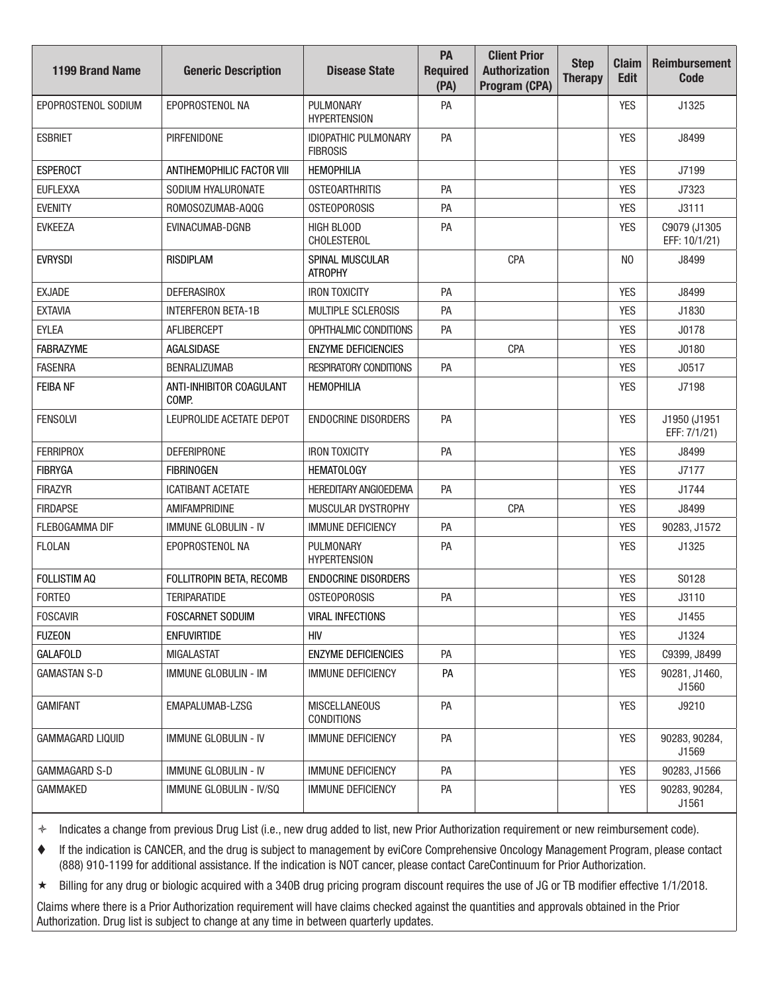| <b>1199 Brand Name</b>  | <b>Generic Description</b>        | <b>Disease State</b>                      | PA<br><b>Required</b><br>(PA) | <b>Client Prior</b><br><b>Authorization</b><br>Program (CPA) | <b>Step</b><br><b>Therapy</b> | <b>Claim</b><br><b>Edit</b> | <b>Reimbursement</b><br><b>Code</b> |
|-------------------------|-----------------------------------|-------------------------------------------|-------------------------------|--------------------------------------------------------------|-------------------------------|-----------------------------|-------------------------------------|
| EPOPROSTENOL SODIUM     | EPOPROSTENOL NA                   | PULMONARY<br><b>HYPERTENSION</b>          | PA                            |                                                              |                               | <b>YES</b>                  | J1325                               |
| <b>ESBRIET</b>          | <b>PIRFENIDONE</b>                | IDIOPATHIC PULMONARY<br><b>FIBROSIS</b>   | PA                            |                                                              |                               | <b>YES</b>                  | J8499                               |
| <b>ESPEROCT</b>         | ANTIHEMOPHILIC FACTOR VIII        | <b>HEMOPHILIA</b>                         |                               |                                                              |                               | <b>YES</b>                  | J7199                               |
| <b>EUFLEXXA</b>         | SODIUM HYALURONATE                | <b>OSTEOARTHRITIS</b>                     | PA                            |                                                              |                               | <b>YES</b>                  | J7323                               |
| <b>EVENITY</b>          | ROMOSOZUMAB-AQQG                  | <b>OSTEOPOROSIS</b>                       | PA                            |                                                              |                               | <b>YES</b>                  | J3111                               |
| <b>EVKEEZA</b>          | EVINACUMAB-DGNB                   | <b>HIGH BLOOD</b><br><b>CHOLESTEROL</b>   | PA                            |                                                              |                               | <b>YES</b>                  | C9079 (J1305<br>EFF: 10/1/21)       |
| <b>EVRYSDI</b>          | <b>RISDIPLAM</b>                  | SPINAL MUSCULAR<br><b>ATROPHY</b>         |                               | CPA                                                          |                               | N <sub>0</sub>              | J8499                               |
| <b>EXJADE</b>           | <b>DEFERASIROX</b>                | <b>IRON TOXICITY</b>                      | PA                            |                                                              |                               | <b>YES</b>                  | J8499                               |
| <b>EXTAVIA</b>          | <b>INTERFERON BETA-1B</b>         | <b>MULTIPLE SCLEROSIS</b>                 | PA                            |                                                              |                               | <b>YES</b>                  | J1830                               |
| <b>EYLEA</b>            | AFLIBERCEPT                       | OPHTHALMIC CONDITIONS                     | PA                            |                                                              |                               | <b>YES</b>                  | J0178                               |
| <b>FABRAZYME</b>        | <b>AGALSIDASE</b>                 | <b>ENZYME DEFICIENCIES</b>                |                               | CPA                                                          |                               | <b>YES</b>                  | J0180                               |
| <b>FASENRA</b>          | <b>BENRALIZUMAB</b>               | <b>RESPIRATORY CONDITIONS</b>             | PA                            |                                                              |                               | <b>YES</b>                  | J0517                               |
| <b>FEIBA NF</b>         | ANTI-INHIBITOR COAGULANT<br>COMP. | <b>HEMOPHILIA</b>                         |                               |                                                              |                               | <b>YES</b>                  | J7198                               |
| <b>FENSOLVI</b>         | LEUPROLIDE ACETATE DEPOT          | <b>ENDOCRINE DISORDERS</b>                | PA                            |                                                              |                               | <b>YES</b>                  | J1950 (J1951<br>EFF: 7/1/21)        |
| <b>FERRIPROX</b>        | <b>DEFERIPRONE</b>                | <b>IRON TOXICITY</b>                      | PA                            |                                                              |                               | <b>YES</b>                  | J8499                               |
| <b>FIBRYGA</b>          | <b>FIBRINOGEN</b>                 | <b>HEMATOLOGY</b>                         |                               |                                                              |                               | <b>YES</b>                  | J7177                               |
| <b>FIRAZYR</b>          | <b>ICATIBANT ACETATE</b>          | <b>HEREDITARY ANGIOEDEMA</b>              | PA                            |                                                              |                               | <b>YES</b>                  | J1744                               |
| <b>FIRDAPSE</b>         | AMIFAMPRIDINE                     | MUSCULAR DYSTROPHY                        |                               | CPA                                                          |                               | <b>YES</b>                  | J8499                               |
| <b>FLEBOGAMMA DIF</b>   | <b>IMMUNE GLOBULIN - IV</b>       | <b>IMMUNE DEFICIENCY</b>                  | PA                            |                                                              |                               | <b>YES</b>                  | 90283, J1572                        |
| <b>FLOLAN</b>           | EPOPROSTENOL NA                   | PULMONARY<br><b>HYPERTENSION</b>          | PA                            |                                                              |                               | <b>YES</b>                  | J1325                               |
| <b>FOLLISTIM AQ</b>     | FOLLITROPIN BETA, RECOMB          | <b>ENDOCRINE DISORDERS</b>                |                               |                                                              |                               | <b>YES</b>                  | S0128                               |
| <b>FORTEO</b>           | <b>TERIPARATIDE</b>               | <b>OSTEOPOROSIS</b>                       | PA                            |                                                              |                               | <b>YES</b>                  | J3110                               |
| <b>FOSCAVIR</b>         | FOSCARNET SODUIM                  | <b>VIRAL INFECTIONS</b>                   |                               |                                                              |                               | <b>YES</b>                  | J1455                               |
| <b>FUZEON</b>           | <b>ENFUVIRTIDE</b>                | <b>HIV</b>                                |                               |                                                              |                               | <b>YES</b>                  | J1324                               |
| <b>GALAFOLD</b>         | <b>MIGALASTAT</b>                 | <b>ENZYME DEFICIENCIES</b>                | PA                            |                                                              |                               | <b>YES</b>                  | C9399, J8499                        |
| <b>GAMASTAN S-D</b>     | <b>IMMUNE GLOBULIN - IM</b>       | <b>IMMUNE DEFICIENCY</b>                  | PA                            |                                                              |                               | <b>YES</b>                  | 90281, J1460,<br>J1560              |
| <b>GAMIFANT</b>         | EMAPALUMAB-LZSG                   | <b>MISCELLANEOUS</b><br><b>CONDITIONS</b> | PA                            |                                                              |                               | <b>YES</b>                  | J9210                               |
| <b>GAMMAGARD LIQUID</b> | <b>IMMUNE GLOBULIN - IV</b>       | <b>IMMUNE DEFICIENCY</b>                  | PA                            |                                                              |                               | <b>YES</b>                  | 90283, 90284,<br>J1569              |
| GAMMAGARD S-D           | <b>IMMUNE GLOBULIN - IV</b>       | <b>IMMUNE DEFICIENCY</b>                  | PA                            |                                                              |                               | <b>YES</b>                  | 90283, J1566                        |
| <b>GAMMAKED</b>         | IMMUNE GLOBULIN - IV/SQ           | <b>IMMUNE DEFICIENCY</b>                  | PA                            |                                                              |                               | <b>YES</b>                  | 90283, 90284,<br>J1561              |

 If the indication is CANCER, and the drug is subject to management by eviCore Comprehensive Oncology Management Program, please contact (888) 910-1199 for additional assistance. If the indication is NOT cancer, please contact CareContinuum for Prior Authorization.

Billing for any drug or biologic acquired with a 340B drug pricing program discount requires the use of JG or TB modifier effective 1/1/2018.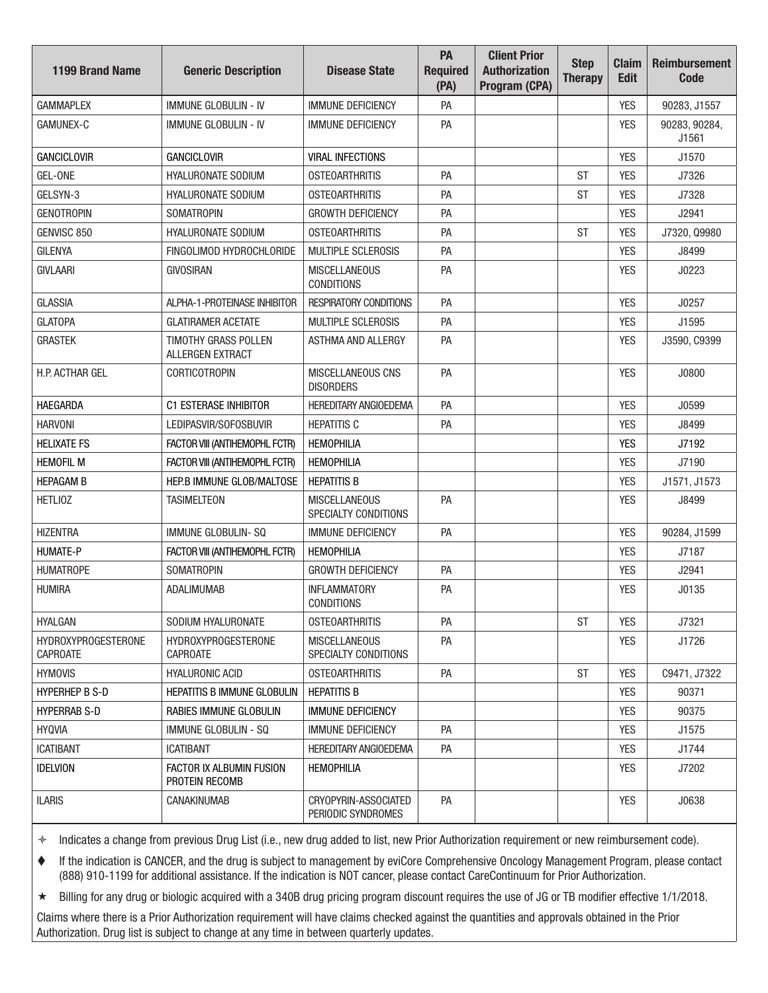| <b>1199 Brand Name</b>                        | <b>Generic Description</b>                 | <b>Disease State</b>                         | PA<br><b>Required</b><br>(PA) | <b>Client Prior</b><br><b>Authorization</b><br>Program (CPA) | <b>Step</b><br><b>Therapy</b> | <b>Claim</b><br><b>Edit</b> | <b>Reimbursement</b><br>Code |
|-----------------------------------------------|--------------------------------------------|----------------------------------------------|-------------------------------|--------------------------------------------------------------|-------------------------------|-----------------------------|------------------------------|
| <b>GAMMAPLEX</b>                              | <b>IMMUNE GLOBULIN - IV</b>                | <b>IMMUNE DEFICIENCY</b>                     | PA                            |                                                              |                               | <b>YES</b>                  | 90283, J1557                 |
| <b>GAMUNEX-C</b>                              | <b>IMMUNE GLOBULIN - IV</b>                | <b>IMMUNE DEFICIENCY</b>                     | PA                            |                                                              |                               | <b>YES</b>                  | 90283, 90284,<br>J1561       |
| <b>GANCICLOVIR</b>                            | <b>GANCICLOVIR</b>                         | <b>VIRAL INFECTIONS</b>                      |                               |                                                              |                               | <b>YES</b>                  | J1570                        |
| GEL-ONE                                       | HYALURONATE SODIUM                         | <b>OSTEOARTHRITIS</b>                        | PA                            |                                                              | <b>ST</b>                     | <b>YES</b>                  | J7326                        |
| GELSYN-3                                      | <b>HYALURONATE SODIUM</b>                  | <b>OSTEOARTHRITIS</b>                        | PA                            |                                                              | <b>ST</b>                     | <b>YES</b>                  | J7328                        |
| <b>GENOTROPIN</b>                             | <b>SOMATROPIN</b>                          | <b>GROWTH DEFICIENCY</b>                     | PA                            |                                                              |                               | <b>YES</b>                  | J2941                        |
| GENVISC 850                                   | <b>HYALURONATE SODIUM</b>                  | <b>OSTEOARTHRITIS</b>                        | PA                            |                                                              | <b>ST</b>                     | <b>YES</b>                  | J7320, Q9980                 |
| <b>GILENYA</b>                                | FINGOLIMOD HYDROCHLORIDE                   | <b>MULTIPLE SCLEROSIS</b>                    | PA                            |                                                              |                               | <b>YES</b>                  | J8499                        |
| <b>GIVLAARI</b>                               | <b>GIVOSIRAN</b>                           | <b>MISCELLANEOUS</b><br><b>CONDITIONS</b>    | PA                            |                                                              |                               | <b>YES</b>                  | J0223                        |
| <b>GLASSIA</b>                                | ALPHA-1-PROTEINASE INHIBITOR               | <b>RESPIRATORY CONDITIONS</b>                | PA                            |                                                              |                               | <b>YES</b>                  | J0257                        |
| <b>GLATOPA</b>                                | <b>GLATIRAMER ACETATE</b>                  | MULTIPLE SCLEROSIS                           | PA                            |                                                              |                               | <b>YES</b>                  | J1595                        |
| <b>GRASTEK</b>                                | TIMOTHY GRASS POLLEN<br>ALLERGEN EXTRACT   | ASTHMA AND ALLERGY                           | PA                            |                                                              |                               | <b>YES</b>                  | J3590, C9399                 |
| H.P. ACTHAR GEL                               | <b>CORTICOTROPIN</b>                       | MISCELLANEOUS CNS<br><b>DISORDERS</b>        | PA                            |                                                              |                               | <b>YES</b>                  | J0800                        |
| <b>HAEGARDA</b>                               | <b>C1 ESTERASE INHIBITOR</b>               | <b>HEREDITARY ANGIOEDEMA</b>                 | PA                            |                                                              |                               | <b>YES</b>                  | J0599                        |
| <b>HARVONI</b>                                | LEDIPASVIR/SOFOSBUVIR                      | <b>HEPATITIS C</b>                           | PA                            |                                                              |                               | <b>YES</b>                  | J8499                        |
| <b>HELIXATE FS</b>                            | FACTOR VIII (ANTIHEMOPHL FCTR)             | <b>HEMOPHILIA</b>                            |                               |                                                              |                               | <b>YES</b>                  | J7192                        |
| <b>HEMOFIL M</b>                              | FACTOR VIII (ANTIHEMOPHL FCTR)             | <b>HEMOPHILIA</b>                            |                               |                                                              |                               | <b>YES</b>                  | J7190                        |
| <b>HEPAGAM B</b>                              | HEP.B IMMUNE GLOB/MALTOSE                  | <b>HEPATITIS B</b>                           |                               |                                                              |                               | <b>YES</b>                  | J1571, J1573                 |
| <b>HETLIOZ</b>                                | <b>TASIMELTEON</b>                         | <b>MISCELLANEOUS</b><br>SPECIALTY CONDITIONS | PA                            |                                                              |                               | <b>YES</b>                  | J8499                        |
| <b>HIZENTRA</b>                               | <b>IMMUNE GLOBULIN-SQ</b>                  | <b>IMMUNE DEFICIENCY</b>                     | PA                            |                                                              |                               | <b>YES</b>                  | 90284, J1599                 |
| <b>HUMATE-P</b>                               | FACTOR VIII (ANTIHEMOPHL FCTR)             | <b>HEMOPHILIA</b>                            |                               |                                                              |                               | <b>YES</b>                  | J7187                        |
| <b>HUMATROPE</b>                              | <b>SOMATROPIN</b>                          | <b>GROWTH DEFICIENCY</b>                     | PA                            |                                                              |                               | <b>YES</b>                  | J2941                        |
| <b>HUMIRA</b>                                 | ADALIMUMAB                                 | <b>INFLAMMATORY</b><br><b>CONDITIONS</b>     | PA                            |                                                              |                               | <b>YES</b>                  | J0135                        |
| <b>HYALGAN</b>                                | SODIUM HYALURONATE                         | <b>OSTEOARTHRITIS</b>                        | PA                            |                                                              | <b>ST</b>                     | <b>YES</b>                  | J7321                        |
| <b>HYDROXYPROGESTERONE</b><br><b>CAPROATE</b> | HYDROXYPROGESTERONE<br><b>CAPROATE</b>     | <b>MISCELLANEOUS</b><br>SPECIALTY CONDITIONS | PA                            |                                                              |                               | YES                         | J1726                        |
| <b>HYMOVIS</b>                                | <b>HYALURONIC ACID</b>                     | <b>OSTEOARTHRITIS</b>                        | PA                            |                                                              | ST                            | <b>YES</b>                  | C9471, J7322                 |
| HYPERHEP B S-D                                | HEPATITIS B IMMUNE GLOBULIN                | <b>HEPATITIS B</b>                           |                               |                                                              |                               | <b>YES</b>                  | 90371                        |
| <b>HYPERRAB S-D</b>                           | RABIES IMMUNE GLOBULIN                     | <b>IMMUNE DEFICIENCY</b>                     |                               |                                                              |                               | <b>YES</b>                  | 90375                        |
| <b>HYQVIA</b>                                 | IMMUNE GLOBULIN - SQ                       | <b>IMMUNE DEFICIENCY</b>                     | PA                            |                                                              |                               | <b>YES</b>                  | J1575                        |
| <b>ICATIBANT</b>                              | <b>ICATIBANT</b>                           | <b>HEREDITARY ANGIOEDEMA</b>                 | PA                            |                                                              |                               | <b>YES</b>                  | J1744                        |
| <b>IDELVION</b>                               | FACTOR IX ALBUMIN FUSION<br>PROTEIN RECOMB | <b>HEMOPHILIA</b>                            |                               |                                                              |                               | <b>YES</b>                  | J7202                        |
| <b>ILARIS</b>                                 | CANAKINUMAB                                | CRYOPYRIN-ASSOCIATED<br>PERIODIC SYNDROMES   | PA                            |                                                              |                               | <b>YES</b>                  | J0638                        |

 If the indication is CANCER, and the drug is subject to management by eviCore Comprehensive Oncology Management Program, please contact (888) 910-1199 for additional assistance. If the indication is NOT cancer, please contact CareContinuum for Prior Authorization.

Billing for any drug or biologic acquired with a 340B drug pricing program discount requires the use of JG or TB modifier effective 1/1/2018.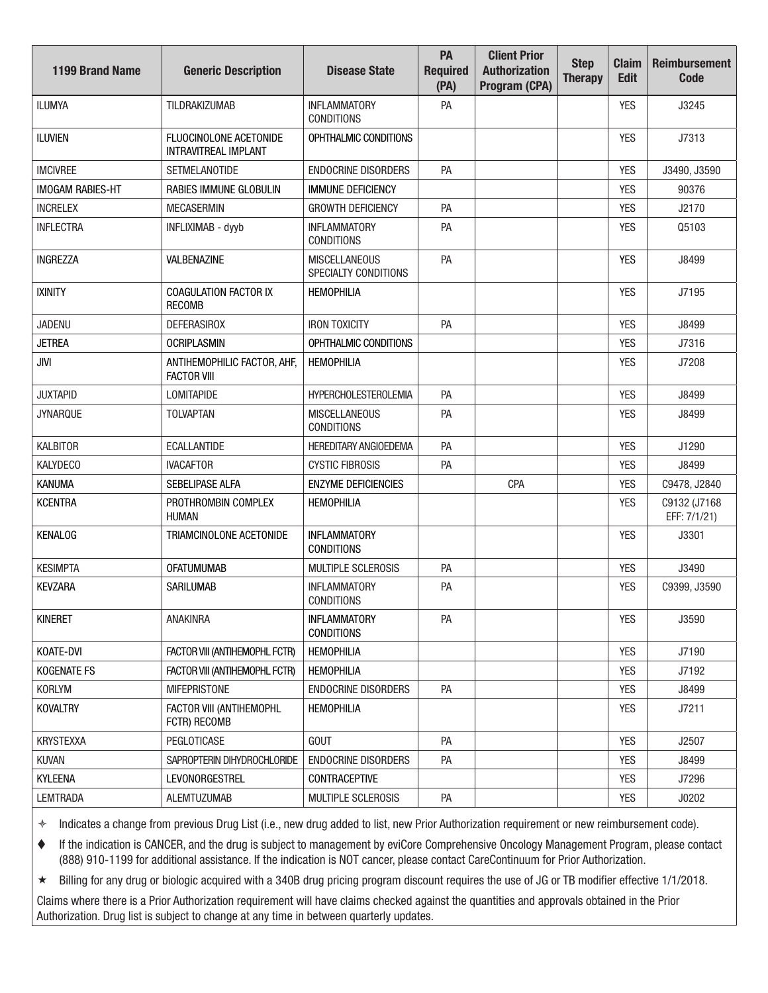| <b>1199 Brand Name</b>  | <b>Generic Description</b>                            | <b>Disease State</b>                         | PA<br><b>Required</b><br>(PA) | <b>Client Prior</b><br><b>Authorization</b><br>Program (CPA) | <b>Step</b><br><b>Therapy</b> | <b>Claim</b><br><b>Edit</b> | <b>Reimbursement</b><br><b>Code</b> |
|-------------------------|-------------------------------------------------------|----------------------------------------------|-------------------------------|--------------------------------------------------------------|-------------------------------|-----------------------------|-------------------------------------|
| <b>ILUMYA</b>           | TILDRAKIZUMAB                                         | <b>INFLAMMATORY</b><br><b>CONDITIONS</b>     | PA                            |                                                              |                               | <b>YES</b>                  | J3245                               |
| <b>ILUVIEN</b>          | FLUOCINOLONE ACETONIDE<br><b>INTRAVITREAL IMPLANT</b> | OPHTHALMIC CONDITIONS                        |                               |                                                              |                               | <b>YES</b>                  | J7313                               |
| <b>IMCIVREE</b>         | <b>SETMELANOTIDE</b>                                  | <b>ENDOCRINE DISORDERS</b>                   | PA                            |                                                              |                               | <b>YES</b>                  | J3490, J3590                        |
| <b>IMOGAM RABIES-HT</b> | RABIES IMMUNE GLOBULIN                                | <b>IMMUNE DEFICIENCY</b>                     |                               |                                                              |                               | <b>YES</b>                  | 90376                               |
| <b>INCRELEX</b>         | <b>MECASERMIN</b>                                     | <b>GROWTH DEFICIENCY</b>                     | PA                            |                                                              |                               | <b>YES</b>                  | J2170                               |
| <b>INFLECTRA</b>        | INFLIXIMAB - dyyb                                     | <b>INFLAMMATORY</b><br><b>CONDITIONS</b>     | PA                            |                                                              |                               | <b>YES</b>                  | Q5103                               |
| <b>INGREZZA</b>         | VALBENAZINE                                           | <b>MISCELLANEOUS</b><br>SPECIALTY CONDITIONS | PA                            |                                                              |                               | <b>YES</b>                  | J8499                               |
| <b>IXINITY</b>          | <b>COAGULATION FACTOR IX</b><br><b>RECOMB</b>         | <b>HEMOPHILIA</b>                            |                               |                                                              |                               | <b>YES</b>                  | J7195                               |
| <b>JADENU</b>           | <b>DEFERASIROX</b>                                    | <b>IRON TOXICITY</b>                         | PA                            |                                                              |                               | <b>YES</b>                  | J8499                               |
| <b>JETREA</b>           | <b>OCRIPLASMIN</b>                                    | OPHTHALMIC CONDITIONS                        |                               |                                                              |                               | <b>YES</b>                  | J7316                               |
| <b>JIVI</b>             | ANTIHEMOPHILIC FACTOR, AHF,<br><b>FACTOR VIII</b>     | <b>HEMOPHILIA</b>                            |                               |                                                              |                               | <b>YES</b>                  | J7208                               |
| <b>JUXTAPID</b>         | <b>LOMITAPIDE</b>                                     | <b>HYPERCHOLESTEROLEMIA</b>                  | PA                            |                                                              |                               | <b>YES</b>                  | J8499                               |
| <b>JYNARQUE</b>         | <b>TOLVAPTAN</b>                                      | <b>MISCELLANEOUS</b><br><b>CONDITIONS</b>    | PA                            |                                                              |                               | <b>YES</b>                  | J8499                               |
| <b>KALBITOR</b>         | <b>ECALLANTIDE</b>                                    | <b>HEREDITARY ANGIOEDEMA</b>                 | PA                            |                                                              |                               | <b>YES</b>                  | J1290                               |
| <b>KALYDECO</b>         | <b>IVACAFTOR</b>                                      | <b>CYSTIC FIBROSIS</b>                       | PA                            |                                                              |                               | <b>YES</b>                  | J8499                               |
| <b>KANUMA</b>           | SEBELIPASE ALFA                                       | <b>ENZYME DEFICIENCIES</b>                   |                               | CPA                                                          |                               | <b>YES</b>                  | C9478, J2840                        |
| <b>KCENTRA</b>          | PROTHROMBIN COMPLEX<br><b>HUMAN</b>                   | <b>HEMOPHILIA</b>                            |                               |                                                              |                               | <b>YES</b>                  | C9132 (J7168<br>EFF: 7/1/21)        |
| <b>KENALOG</b>          | TRIAMCINOLONE ACETONIDE                               | <b>INFLAMMATORY</b><br><b>CONDITIONS</b>     |                               |                                                              |                               | <b>YES</b>                  | J3301                               |
| <b>KESIMPTA</b>         | <b>OFATUMUMAB</b>                                     | MULTIPLE SCLEROSIS                           | PA                            |                                                              |                               | <b>YES</b>                  | J3490                               |
| <b>KEVZARA</b>          | <b>SARILUMAB</b>                                      | <b>INFLAMMATORY</b><br><b>CONDITIONS</b>     | PA                            |                                                              |                               | <b>YES</b>                  | C9399, J3590                        |
| <b>KINERET</b>          | ANAKINRA                                              | <b>INFLAMMATORY</b><br><b>CONDITIONS</b>     | PA                            |                                                              |                               | <b>YES</b>                  | J3590                               |
| KOATE-DVI               | FACTOR VIII (ANTIHEMOPHL FCTR)                        | <b>HEMOPHILIA</b>                            |                               |                                                              |                               | <b>YES</b>                  | J7190                               |
| <b>KOGENATE FS</b>      | FACTOR VIII (ANTIHEMOPHL FCTR)                        | <b>HEMOPHILIA</b>                            |                               |                                                              |                               | <b>YES</b>                  | J7192                               |
| KORLYM                  | <b>MIFEPRISTONE</b>                                   | <b>ENDOCRINE DISORDERS</b>                   | PA                            |                                                              |                               | <b>YES</b>                  | J8499                               |
| <b>KOVALTRY</b>         | FACTOR VIII (ANTIHEMOPHL<br>FCTR) RECOMB              | <b>HEMOPHILIA</b>                            |                               |                                                              |                               | <b>YES</b>                  | J7211                               |
| <b>KRYSTEXXA</b>        | PEGLOTICASE                                           | GOUT                                         | PA                            |                                                              |                               | <b>YES</b>                  | J2507                               |
| <b>KUVAN</b>            | SAPROPTERIN DIHYDROCHLORIDE                           | ENDOCRINE DISORDERS                          | PA                            |                                                              |                               | YES                         | J8499                               |
| <b>KYLEENA</b>          | <b>LEVONORGESTREL</b>                                 | CONTRACEPTIVE                                |                               |                                                              |                               | <b>YES</b>                  | J7296                               |
| <b>LEMTRADA</b>         | ALEMTUZUMAB                                           | MULTIPLE SCLEROSIS                           | PA                            |                                                              |                               | YES                         | J0202                               |

 If the indication is CANCER, and the drug is subject to management by eviCore Comprehensive Oncology Management Program, please contact (888) 910-1199 for additional assistance. If the indication is NOT cancer, please contact CareContinuum for Prior Authorization.

★ Billing for any drug or biologic acquired with a 340B drug pricing program discount requires the use of JG or TB modifier effective 1/1/2018.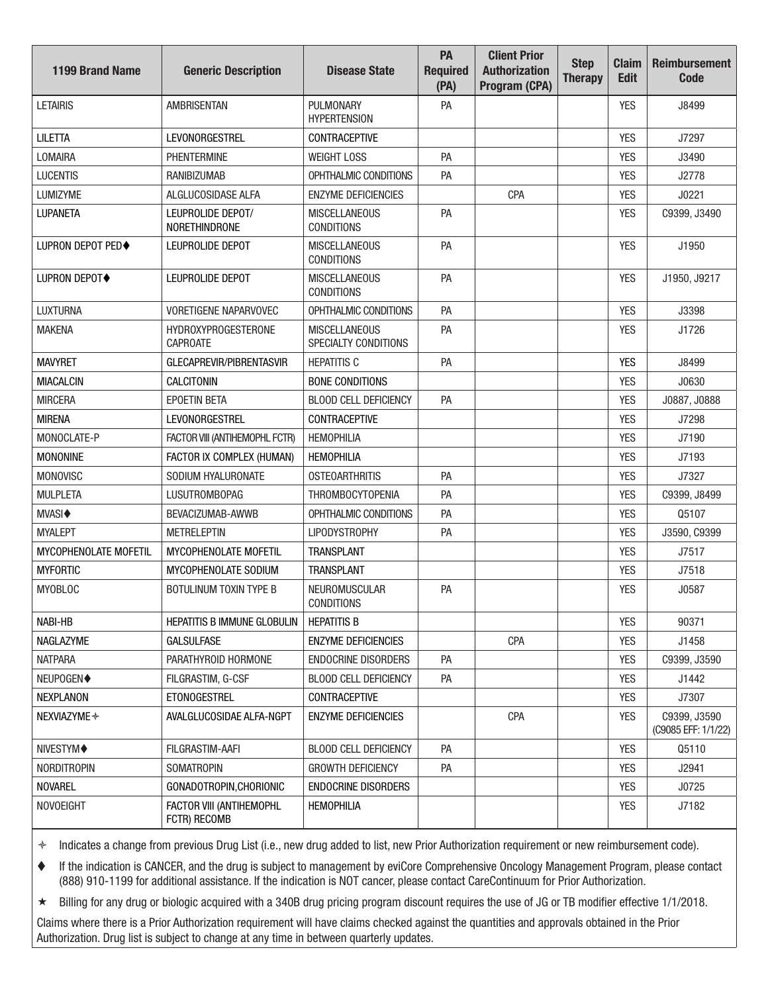| <b>1199 Brand Name</b>   | <b>Generic Description</b>                    | <b>Disease State</b>                         | PA<br><b>Required</b><br>(PA) | <b>Client Prior</b><br><b>Authorization</b><br>Program (CPA) | <b>Step</b><br><b>Therapy</b> | <b>Claim</b><br><b>Edit</b> | <b>Reimbursement</b><br><b>Code</b> |
|--------------------------|-----------------------------------------------|----------------------------------------------|-------------------------------|--------------------------------------------------------------|-------------------------------|-----------------------------|-------------------------------------|
| <b>LETAIRIS</b>          | <b>AMBRISENTAN</b>                            | PULMONARY<br><b>HYPERTENSION</b>             | PA                            |                                                              |                               | <b>YES</b>                  | J8499                               |
| <b>LILETTA</b>           | <b>LEVONORGESTREL</b>                         | <b>CONTRACEPTIVE</b>                         |                               |                                                              |                               | <b>YES</b>                  | J7297                               |
| LOMAIRA                  | <b>PHENTERMINE</b>                            | <b>WEIGHT LOSS</b>                           | PA                            |                                                              |                               | <b>YES</b>                  | J3490                               |
| <b>LUCENTIS</b>          | <b>RANIBIZUMAB</b>                            | OPHTHALMIC CONDITIONS                        | PA                            |                                                              |                               | <b>YES</b>                  | J2778                               |
| LUMIZYME                 | ALGLUCOSIDASE ALFA                            | <b>ENZYME DEFICIENCIES</b>                   |                               | CPA                                                          |                               | <b>YES</b>                  | J0221                               |
| <b>LUPANETA</b>          | LEUPROLIDE DEPOT/<br><b>NORETHINDRONE</b>     | <b>MISCELLANEOUS</b><br><b>CONDITIONS</b>    | PA                            |                                                              |                               | <b>YES</b>                  | C9399, J3490                        |
| <b>LUPRON DEPOT PED◆</b> | LEUPROLIDE DEPOT                              | <b>MISCELLANEOUS</b><br><b>CONDITIONS</b>    | PA                            |                                                              |                               | <b>YES</b>                  | J1950                               |
| <b>LUPRON DEPOT◆</b>     | LEUPROLIDE DEPOT                              | <b>MISCELLANEOUS</b><br><b>CONDITIONS</b>    | PA                            |                                                              |                               | <b>YES</b>                  | J1950, J9217                        |
| <b>LUXTURNA</b>          | VORETIGENE NAPARVOVEC                         | OPHTHALMIC CONDITIONS                        | PA                            |                                                              |                               | <b>YES</b>                  | J3398                               |
| <b>MAKENA</b>            | <b>HYDROXYPROGESTERONE</b><br><b>CAPROATE</b> | <b>MISCELLANEOUS</b><br>SPECIALTY CONDITIONS | PA                            |                                                              |                               | <b>YES</b>                  | J1726                               |
| <b>MAVYRET</b>           | GLECAPREVIR/PIBRENTASVIR                      | <b>HEPATITIS C</b>                           | PA                            |                                                              |                               | <b>YES</b>                  | J8499                               |
| <b>MIACALCIN</b>         | CALCITONIN                                    | <b>BONE CONDITIONS</b>                       |                               |                                                              |                               | <b>YES</b>                  | J0630                               |
| <b>MIRCERA</b>           | <b>EPOETIN BETA</b>                           | <b>BLOOD CELL DEFICIENCY</b>                 | PA                            |                                                              |                               | <b>YES</b>                  | J0887, J0888                        |
| <b>MIRENA</b>            | <b>LEVONORGESTREL</b>                         | CONTRACEPTIVE                                |                               |                                                              |                               | <b>YES</b>                  | J7298                               |
| MONOCLATE-P              | FACTOR VIII (ANTIHEMOPHL FCTR)                | <b>HEMOPHILIA</b>                            |                               |                                                              |                               | <b>YES</b>                  | J7190                               |
| <b>MONONINE</b>          | FACTOR IX COMPLEX (HUMAN)                     | <b>HEMOPHILIA</b>                            |                               |                                                              |                               | <b>YES</b>                  | J7193                               |
| <b>MONOVISC</b>          | SODIUM HYALURONATE                            | <b>OSTEOARTHRITIS</b>                        | PA                            |                                                              |                               | <b>YES</b>                  | J7327                               |
| <b>MULPLETA</b>          | <b>LUSUTROMBOPAG</b>                          | <b>THROMBOCYTOPENIA</b>                      | PA                            |                                                              |                               | <b>YES</b>                  | C9399, J8499                        |
| <b>MVASI</b> ♦           | BEVACIZUMAB-AWWB                              | OPHTHALMIC CONDITIONS                        | PA                            |                                                              |                               | <b>YES</b>                  | Q5107                               |
| <b>MYALEPT</b>           | <b>METRELEPTIN</b>                            | <b>LIPODYSTROPHY</b>                         | PA                            |                                                              |                               | <b>YES</b>                  | J3590, C9399                        |
| MYCOPHENOLATE MOFETIL    | MYCOPHENOLATE MOFETIL                         | <b>TRANSPLANT</b>                            |                               |                                                              |                               | <b>YES</b>                  | J7517                               |
| <b>MYFORTIC</b>          | MYCOPHENOLATE SODIUM                          | TRANSPLANT                                   |                               |                                                              |                               | <b>YES</b>                  | J7518                               |
| <b>MYOBLOC</b>           | <b>BOTULINUM TOXIN TYPE B</b>                 | NEUROMUSCULAR<br>CONDITIONS                  | PA                            |                                                              |                               | <b>YES</b>                  | J0587                               |
| NABI-HB                  | HEPATITIS B IMMUNE GLOBULIN                   | <b>HEPATITIS B</b>                           |                               |                                                              |                               | <b>YES</b>                  | 90371                               |
| <b>NAGLAZYME</b>         | <b>GALSULFASE</b>                             | <b>ENZYME DEFICIENCIES</b>                   |                               | CPA                                                          |                               | <b>YES</b>                  | J1458                               |
| <b>NATPARA</b>           | PARATHYROID HORMONE                           | <b>ENDOCRINE DISORDERS</b>                   | PA                            |                                                              |                               | <b>YES</b>                  | C9399, J3590                        |
| NEUPOGEN◆                | FILGRASTIM, G-CSF                             | <b>BLOOD CELL DEFICIENCY</b>                 | PA                            |                                                              |                               | YES                         | J1442                               |
| NEXPLANON                | <b>ETONOGESTREL</b>                           | CONTRACEPTIVE                                |                               |                                                              |                               | <b>YES</b>                  | J7307                               |
| NEXVIAZYME →             | AVALGLUCOSIDAE ALFA-NGPT                      | <b>ENZYME DEFICIENCIES</b>                   |                               | <b>CPA</b>                                                   |                               | <b>YES</b>                  | C9399, J3590<br>(C9085 EFF: 1/1/22) |
| NIVESTYM◆                | FILGRASTIM-AAFI                               | <b>BLOOD CELL DEFICIENCY</b>                 | PA                            |                                                              |                               | <b>YES</b>                  | Q5110                               |
| <b>NORDITROPIN</b>       | <b>SOMATROPIN</b>                             | <b>GROWTH DEFICIENCY</b>                     | PA                            |                                                              |                               | YES                         | J2941                               |
| <b>NOVAREL</b>           | GONADOTROPIN, CHORIONIC                       | <b>ENDOCRINE DISORDERS</b>                   |                               |                                                              |                               | <b>YES</b>                  | J0725                               |
| NOVOEIGHT                | FACTOR VIII (ANTIHEMOPHL<br>FCTR) RECOMB      | <b>HEMOPHILIA</b>                            |                               |                                                              |                               | YES                         | J7182                               |

 If the indication is CANCER, and the drug is subject to management by eviCore Comprehensive Oncology Management Program, please contact (888) 910-1199 for additional assistance. If the indication is NOT cancer, please contact CareContinuum for Prior Authorization.

Billing for any drug or biologic acquired with a 340B drug pricing program discount requires the use of JG or TB modifier effective 1/1/2018.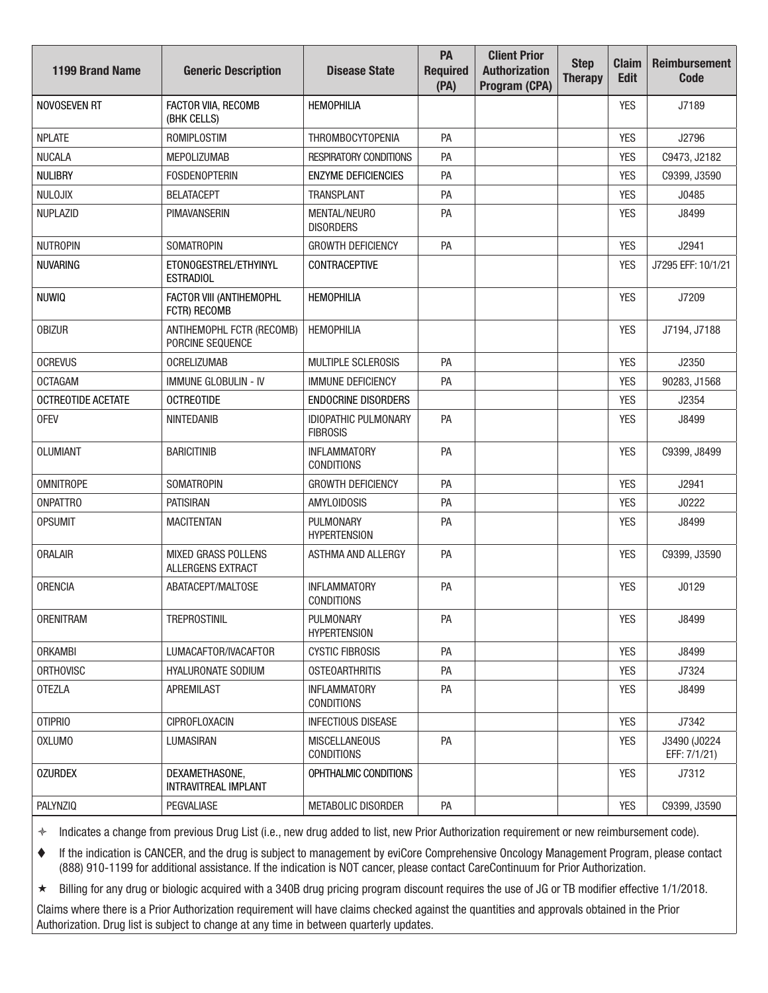| <b>1199 Brand Name</b>    | <b>Generic Description</b>                      | <b>Disease State</b>                           | PA<br><b>Required</b><br>(PA) | <b>Client Prior</b><br><b>Authorization</b><br>Program (CPA) | <b>Step</b><br><b>Therapy</b> | <b>Claim</b><br><b>Edit</b> | <b>Reimbursement</b><br><b>Code</b> |
|---------------------------|-------------------------------------------------|------------------------------------------------|-------------------------------|--------------------------------------------------------------|-------------------------------|-----------------------------|-------------------------------------|
| NOVOSEVEN RT              | FACTOR VIIA, RECOMB<br>(BHK CELLS)              | <b>HEMOPHILIA</b>                              |                               |                                                              |                               | <b>YES</b>                  | J7189                               |
| <b>NPLATE</b>             | <b>ROMIPLOSTIM</b>                              | <b>THROMBOCYTOPENIA</b>                        | PA                            |                                                              |                               | <b>YES</b>                  | J2796                               |
| <b>NUCALA</b>             | <b>MEPOLIZUMAB</b>                              | <b>RESPIRATORY CONDITIONS</b>                  | PA                            |                                                              |                               | <b>YES</b>                  | C9473, J2182                        |
| <b>NULIBRY</b>            | <b>FOSDENOPTERIN</b>                            | <b>ENZYME DEFICIENCIES</b>                     | PA                            |                                                              |                               | <b>YES</b>                  | C9399, J3590                        |
| NULOJIX                   | <b>BELATACEPT</b>                               | <b>TRANSPLANT</b>                              | PA                            |                                                              |                               | <b>YES</b>                  | J0485                               |
| <b>NUPLAZID</b>           | <b>PIMAVANSERIN</b>                             | <b>MENTAL/NEURO</b><br><b>DISORDERS</b>        | PA                            |                                                              |                               | <b>YES</b>                  | J8499                               |
| <b>NUTROPIN</b>           | <b>SOMATROPIN</b>                               | <b>GROWTH DEFICIENCY</b>                       | PA                            |                                                              |                               | <b>YES</b>                  | J2941                               |
| <b>NUVARING</b>           | ETONOGESTREL/ETHYINYL<br><b>ESTRADIOL</b>       | <b>CONTRACEPTIVE</b>                           |                               |                                                              |                               | <b>YES</b>                  | J7295 EFF: 10/1/21                  |
| <b>NUWIQ</b>              | FACTOR VIII (ANTIHEMOPHL<br>FCTR) RECOMB        | <b>HEMOPHILIA</b>                              |                               |                                                              |                               | <b>YES</b>                  | J7209                               |
| <b>OBIZUR</b>             | ANTIHEMOPHL FCTR (RECOMB)<br>PORCINE SEQUENCE   | <b>HEMOPHILIA</b>                              |                               |                                                              |                               | <b>YES</b>                  | J7194, J7188                        |
| <b>OCREVUS</b>            | <b>OCRELIZUMAB</b>                              | <b>MULTIPLE SCLEROSIS</b>                      | PA                            |                                                              |                               | <b>YES</b>                  | J2350                               |
| <b>OCTAGAM</b>            | <b>IMMUNE GLOBULIN - IV</b>                     | <b>IMMUNE DEFICIENCY</b>                       | PA                            |                                                              |                               | <b>YES</b>                  | 90283, J1568                        |
| <b>OCTREOTIDE ACETATE</b> | <b>OCTREOTIDE</b>                               | <b>ENDOCRINE DISORDERS</b>                     |                               |                                                              |                               | <b>YES</b>                  | J2354                               |
| <b>OFEV</b>               | <b>NINTEDANIB</b>                               | <b>IDIOPATHIC PULMONARY</b><br><b>FIBROSIS</b> | PA                            |                                                              |                               | <b>YES</b>                  | J8499                               |
| <b>OLUMIANT</b>           | <b>BARICITINIB</b>                              | <b>INFLAMMATORY</b><br><b>CONDITIONS</b>       | PA                            |                                                              |                               | <b>YES</b>                  | C9399, J8499                        |
| <b>OMNITROPE</b>          | <b>SOMATROPIN</b>                               | <b>GROWTH DEFICIENCY</b>                       | PA                            |                                                              |                               | <b>YES</b>                  | J2941                               |
| <b>ONPATTRO</b>           | <b>PATISIRAN</b>                                | <b>AMYLOIDOSIS</b>                             | PA                            |                                                              |                               | <b>YES</b>                  | J0222                               |
| <b>OPSUMIT</b>            | <b>MACITENTAN</b>                               | PULMONARY<br><b>HYPERTENSION</b>               | PA                            |                                                              |                               | <b>YES</b>                  | J8499                               |
| <b>ORALAIR</b>            | <b>MIXED GRASS POLLENS</b><br>ALLERGENS EXTRACT | ASTHMA AND ALLERGY                             | PA                            |                                                              |                               | <b>YES</b>                  | C9399, J3590                        |
| <b>ORENCIA</b>            | ABATACEPT/MALTOSE                               | <b>INFLAMMATORY</b><br><b>CONDITIONS</b>       | PA                            |                                                              |                               | <b>YES</b>                  | J0129                               |
| <b>ORENITRAM</b>          | <b>TREPROSTINIL</b>                             | PULMONARY<br><b>HYPERTENSION</b>               | PA                            |                                                              |                               | YES                         | J8499                               |
| <b>ORKAMBI</b>            | LUMACAFTOR/IVACAFTOR                            | <b>CYSTIC FIBROSIS</b>                         | PA                            |                                                              |                               | <b>YES</b>                  | J8499                               |
| <b>ORTHOVISC</b>          | <b>HYALURONATE SODIUM</b>                       | <b>OSTEOARTHRITIS</b>                          | PA                            |                                                              |                               | YES                         | J7324                               |
| <b>OTEZLA</b>             | <b>APREMILAST</b>                               | <b>INFLAMMATORY</b><br><b>CONDITIONS</b>       | PA                            |                                                              |                               | <b>YES</b>                  | J8499                               |
| OTIPRIO                   | CIPROFLOXACIN                                   | <b>INFECTIOUS DISEASE</b>                      |                               |                                                              |                               | <b>YES</b>                  | J7342                               |
| <b>OXLUMO</b>             | LUMASIRAN                                       | <b>MISCELLANEOUS</b><br><b>CONDITIONS</b>      | PA                            |                                                              |                               | YES                         | J3490 (J0224<br>EFF: 7/1/21)        |
| <b>OZURDEX</b>            | DEXAMETHASONE,<br>INTRAVITREAL IMPLANT          | OPHTHALMIC CONDITIONS                          |                               |                                                              |                               | YES                         | J7312                               |
| PALYNZIQ                  | PEGVALIASE                                      | METABOLIC DISORDER                             | PA                            |                                                              |                               | <b>YES</b>                  | C9399, J3590                        |

 If the indication is CANCER, and the drug is subject to management by eviCore Comprehensive Oncology Management Program, please contact (888) 910-1199 for additional assistance. If the indication is NOT cancer, please contact CareContinuum for Prior Authorization.

Billing for any drug or biologic acquired with a 340B drug pricing program discount requires the use of JG or TB modifier effective 1/1/2018.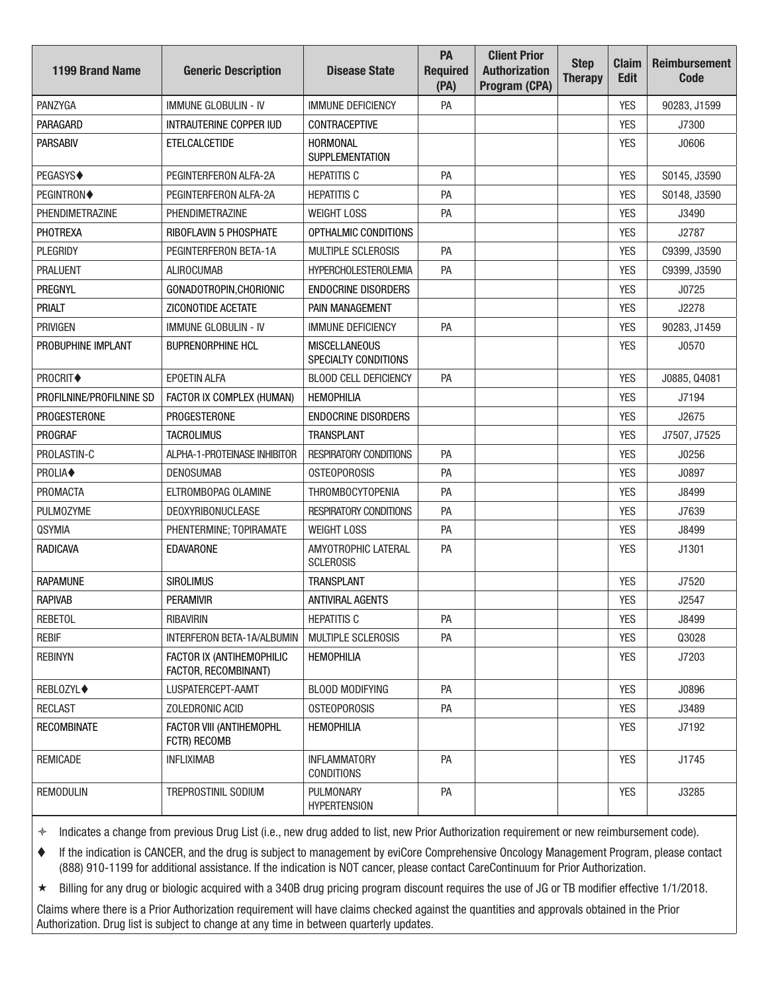| <b>1199 Brand Name</b>   | <b>Generic Description</b>                        | <b>Disease State</b>                         | PA<br><b>Required</b><br>(PA) | <b>Client Prior</b><br><b>Authorization</b><br>Program (CPA) | <b>Step</b><br><b>Therapy</b> | <b>Claim</b><br><b>Edit</b> | <b>Reimbursement</b><br><b>Code</b> |
|--------------------------|---------------------------------------------------|----------------------------------------------|-------------------------------|--------------------------------------------------------------|-------------------------------|-----------------------------|-------------------------------------|
| PANZYGA                  | <b>IMMUNE GLOBULIN - IV</b>                       | <b>IMMUNE DEFICIENCY</b>                     | PA                            |                                                              |                               | <b>YES</b>                  | 90283, J1599                        |
| PARAGARD                 | INTRAUTERINE COPPER IUD                           | <b>CONTRACEPTIVE</b>                         |                               |                                                              |                               | <b>YES</b>                  | J7300                               |
| <b>PARSABIV</b>          | <b>ETELCALCETIDE</b>                              | <b>HORMONAL</b><br><b>SUPPLEMENTATION</b>    |                               |                                                              |                               | <b>YES</b>                  | J0606                               |
| PEGASYS◆                 | PEGINTERFERON ALFA-2A                             | <b>HEPATITIS C</b>                           | PA                            |                                                              |                               | <b>YES</b>                  | S0145, J3590                        |
| PEGINTRON◆               | PEGINTERFERON ALFA-2A                             | <b>HEPATITIS C</b>                           | PA                            |                                                              |                               | <b>YES</b>                  | S0148, J3590                        |
| <b>PHENDIMETRAZINE</b>   | PHENDIMETRAZINE                                   | <b>WEIGHT LOSS</b>                           | PA                            |                                                              |                               | <b>YES</b>                  | J3490                               |
| PHOTREXA                 | RIBOFLAVIN 5 PHOSPHATE                            | OPTHALMIC CONDITIONS                         |                               |                                                              |                               | <b>YES</b>                  | J2787                               |
| PLEGRIDY                 | PEGINTERFERON BETA-1A                             | MULTIPLE SCLEROSIS                           | PA                            |                                                              |                               | <b>YES</b>                  | C9399, J3590                        |
| <b>PRALUENT</b>          | <b>ALIROCUMAB</b>                                 | <b>HYPERCHOLESTEROLEMIA</b>                  | PA                            |                                                              |                               | <b>YES</b>                  | C9399, J3590                        |
| PREGNYL                  | GONADOTROPIN, CHORIONIC                           | <b>ENDOCRINE DISORDERS</b>                   |                               |                                                              |                               | <b>YES</b>                  | J0725                               |
| <b>PRIALT</b>            | ZICONOTIDE ACETATE                                | PAIN MANAGEMENT                              |                               |                                                              |                               | <b>YES</b>                  | J2278                               |
| PRIVIGEN                 | <b>IMMUNE GLOBULIN - IV</b>                       | <b>IMMUNE DEFICIENCY</b>                     | PA                            |                                                              |                               | <b>YES</b>                  | 90283, J1459                        |
| PROBUPHINE IMPLANT       | <b>BUPRENORPHINE HCL</b>                          | <b>MISCELLANEOUS</b><br>SPECIALTY CONDITIONS |                               |                                                              |                               | <b>YES</b>                  | J0570                               |
| PROCRIT◆                 | <b>EPOETIN ALFA</b>                               | <b>BLOOD CELL DEFICIENCY</b>                 | PA                            |                                                              |                               | <b>YES</b>                  | J0885, Q4081                        |
| PROFILNINE/PROFILNINE SD | FACTOR IX COMPLEX (HUMAN)                         | <b>HEMOPHILIA</b>                            |                               |                                                              |                               | <b>YES</b>                  | J7194                               |
| <b>PROGESTERONE</b>      | <b>PROGESTERONE</b>                               | <b>ENDOCRINE DISORDERS</b>                   |                               |                                                              |                               | <b>YES</b>                  | J2675                               |
| <b>PROGRAF</b>           | <b>TACROLIMUS</b>                                 | <b>TRANSPLANT</b>                            |                               |                                                              |                               | <b>YES</b>                  | J7507, J7525                        |
| PROLASTIN-C              | ALPHA-1-PROTEINASE INHIBITOR                      | <b>RESPIRATORY CONDITIONS</b>                | PA                            |                                                              |                               | <b>YES</b>                  | J0256                               |
| PROLIA◆                  | <b>DENOSUMAB</b>                                  | <b>OSTEOPOROSIS</b>                          | PA                            |                                                              |                               | <b>YES</b>                  | J0897                               |
| PROMACTA                 | ELTROMBOPAG OLAMINE                               | <b>THROMBOCYTOPENIA</b>                      | PA                            |                                                              |                               | <b>YES</b>                  | J8499                               |
| <b>PULMOZYME</b>         | DEOXYRIBONUCLEASE                                 | <b>RESPIRATORY CONDITIONS</b>                | PA                            |                                                              |                               | <b>YES</b>                  | J7639                               |
| <b>QSYMIA</b>            | PHENTERMINE; TOPIRAMATE                           | <b>WEIGHT LOSS</b>                           | PA                            |                                                              |                               | <b>YES</b>                  | J8499                               |
| RADICAVA                 | <b>EDAVARONE</b>                                  | AMYOTROPHIC LATERAL<br><b>SCLEROSIS</b>      | PA                            |                                                              |                               | <b>YES</b>                  | J1301                               |
| <b>RAPAMUNE</b>          | <b>SIROLIMUS</b>                                  | <b>TRANSPLANT</b>                            |                               |                                                              |                               | <b>YES</b>                  | J7520                               |
| <b>RAPIVAB</b>           | <b>PERAMIVIR</b>                                  | ANTIVIRAL AGENTS                             |                               |                                                              |                               | <b>YES</b>                  | J2547                               |
| <b>REBETOL</b>           | RIBAVIRIN                                         | <b>HEPATITIS C</b>                           | PA                            |                                                              |                               | YES                         | J8499                               |
| <b>REBIF</b>             | INTERFERON BETA-1A/ALBUMIN                        | <b>MULTIPLE SCLEROSIS</b>                    | PA                            |                                                              |                               | <b>YES</b>                  | Q3028                               |
| <b>REBINYN</b>           | FACTOR IX (ANTIHEMOPHILIC<br>FACTOR, RECOMBINANT) | <b>HEMOPHILIA</b>                            |                               |                                                              |                               | YES                         | J7203                               |
| <b>REBLOZYL◆</b>         | LUSPATERCEPT-AAMT                                 | <b>BLOOD MODIFYING</b>                       | PA                            |                                                              |                               | <b>YES</b>                  | J0896                               |
| <b>RECLAST</b>           | ZOLEDRONIC ACID                                   | <b>OSTEOPOROSIS</b>                          | PA                            |                                                              |                               | <b>YES</b>                  | J3489                               |
| <b>RECOMBINATE</b>       | FACTOR VIII (ANTIHEMOPHL<br>FCTR) RECOMB          | <b>HEMOPHILIA</b>                            |                               |                                                              |                               | <b>YES</b>                  | J7192                               |
| <b>REMICADE</b>          | <b>INFLIXIMAB</b>                                 | <b>INFLAMMATORY</b><br><b>CONDITIONS</b>     | PA                            |                                                              |                               | YES                         | J1745                               |
| REMODULIN                | TREPROSTINIL SODIUM                               | PULMONARY<br><b>HYPERTENSION</b>             | PA                            |                                                              |                               | YES                         | J3285                               |

 If the indication is CANCER, and the drug is subject to management by eviCore Comprehensive Oncology Management Program, please contact (888) 910-1199 for additional assistance. If the indication is NOT cancer, please contact CareContinuum for Prior Authorization.

Billing for any drug or biologic acquired with a 340B drug pricing program discount requires the use of JG or TB modifier effective 1/1/2018.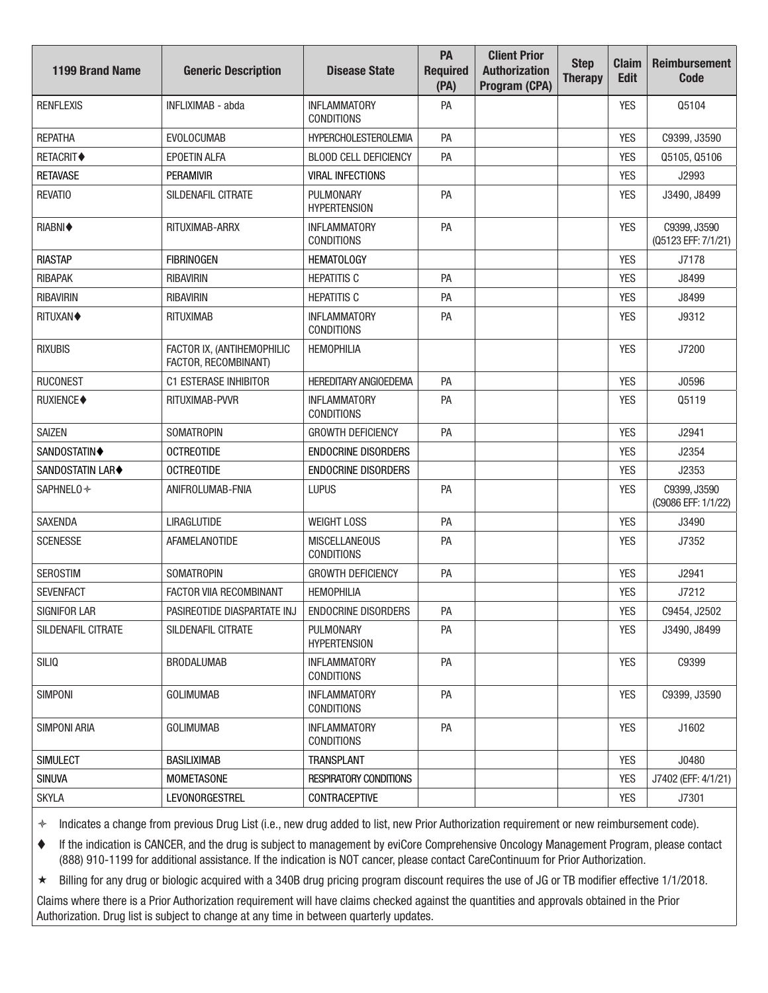| <b>1199 Brand Name</b>  | <b>Generic Description</b>                         | <b>Disease State</b>                      | PA<br><b>Required</b><br>(PA) | <b>Client Prior</b><br><b>Authorization</b><br>Program (CPA) | <b>Step</b><br><b>Therapy</b> | <b>Claim</b><br><b>Edit</b> | <b>Reimbursement</b><br><b>Code</b> |
|-------------------------|----------------------------------------------------|-------------------------------------------|-------------------------------|--------------------------------------------------------------|-------------------------------|-----------------------------|-------------------------------------|
| <b>RENFLEXIS</b>        | INFLIXIMAB - abda                                  | <b>INFLAMMATORY</b><br><b>CONDITIONS</b>  | PA                            |                                                              |                               | <b>YES</b>                  | Q5104                               |
| <b>REPATHA</b>          | <b>EVOLOCUMAB</b>                                  | <b>HYPERCHOLESTEROLEMIA</b>               | PA                            |                                                              |                               | <b>YES</b>                  | C9399, J3590                        |
| <b>RETACRIT◆</b>        | <b>EPOETIN ALFA</b>                                | <b>BLOOD CELL DEFICIENCY</b>              | PA                            |                                                              |                               | <b>YES</b>                  | Q5105, Q5106                        |
| <b>RETAVASE</b>         | <b>PERAMIVIR</b>                                   | <b>VIRAL INFECTIONS</b>                   |                               |                                                              |                               | <b>YES</b>                  | J2993                               |
| <b>REVATIO</b>          | SILDENAFIL CITRATE                                 | PULMONARY<br><b>HYPERTENSION</b>          | PA                            |                                                              |                               | <b>YES</b>                  | J3490, J8499                        |
| RIABNI◆                 | RITUXIMAB-ARRX                                     | <b>INFLAMMATORY</b><br><b>CONDITIONS</b>  | PA                            |                                                              |                               | <b>YES</b>                  | C9399, J3590<br>(Q5123 EFF: 7/1/21) |
| <b>RIASTAP</b>          | <b>FIBRINOGEN</b>                                  | <b>HEMATOLOGY</b>                         |                               |                                                              |                               | <b>YES</b>                  | J7178                               |
| RIBAPAK                 | <b>RIBAVIRIN</b>                                   | <b>HEPATITIS C</b>                        | PA                            |                                                              |                               | <b>YES</b>                  | J8499                               |
| <b>RIBAVIRIN</b>        | <b>RIBAVIRIN</b>                                   | <b>HEPATITIS C</b>                        | PA                            |                                                              |                               | <b>YES</b>                  | J8499                               |
| <b>RITUXAN◆</b>         | <b>RITUXIMAB</b>                                   | <b>INFLAMMATORY</b><br><b>CONDITIONS</b>  | PA                            |                                                              |                               | <b>YES</b>                  | J9312                               |
| <b>RIXUBIS</b>          | FACTOR IX, (ANTIHEMOPHILIC<br>FACTOR, RECOMBINANT) | <b>HEMOPHILIA</b>                         |                               |                                                              |                               | <b>YES</b>                  | J7200                               |
| <b>RUCONEST</b>         | <b>C1 ESTERASE INHIBITOR</b>                       | <b>HEREDITARY ANGIOEDEMA</b>              | PA                            |                                                              |                               | <b>YES</b>                  | J0596                               |
| RUXIENCE◆               | RITUXIMAB-PVVR                                     | <b>INFLAMMATORY</b><br><b>CONDITIONS</b>  | PA                            |                                                              |                               | <b>YES</b>                  | Q5119                               |
| <b>SAIZEN</b>           | <b>SOMATROPIN</b>                                  | <b>GROWTH DEFICIENCY</b>                  | PA                            |                                                              |                               | <b>YES</b>                  | J2941                               |
| SANDOSTATIN◆            | <b>OCTREOTIDE</b>                                  | <b>ENDOCRINE DISORDERS</b>                |                               |                                                              |                               | <b>YES</b>                  | J2354                               |
| <b>SANDOSTATIN LAR◆</b> | <b>OCTREOTIDE</b>                                  | <b>ENDOCRINE DISORDERS</b>                |                               |                                                              |                               | <b>YES</b>                  | J2353                               |
| SAPHNELO *              | ANIFROLUMAB-FNIA                                   | <b>LUPUS</b>                              | PA                            |                                                              |                               | <b>YES</b>                  | C9399, J3590<br>(C9086 EFF: 1/1/22) |
| <b>SAXENDA</b>          | LIRAGLUTIDE                                        | <b>WEIGHT LOSS</b>                        | PA                            |                                                              |                               | <b>YES</b>                  | J3490                               |
| <b>SCENESSE</b>         | <b>AFAMELANOTIDE</b>                               | <b>MISCELLANEOUS</b><br><b>CONDITIONS</b> | PA                            |                                                              |                               | <b>YES</b>                  | J7352                               |
| <b>SEROSTIM</b>         | <b>SOMATROPIN</b>                                  | <b>GROWTH DEFICIENCY</b>                  | PA                            |                                                              |                               | <b>YES</b>                  | J2941                               |
| <b>SEVENFACT</b>        | FACTOR VIIA RECOMBINANT                            | <b>HEMOPHILIA</b>                         |                               |                                                              |                               | <b>YES</b>                  | J7212                               |
| SIGNIFOR LAR            | PASIREOTIDE DIASPARTATE INJ                        | <b>ENDOCRINE DISORDERS</b>                | PA                            |                                                              |                               | YES                         | C9454, J2502                        |
| SILDENAFIL CITRATE      | SILDENAFIL CITRATE                                 | PULMONARY<br><b>HYPERTENSION</b>          | PA                            |                                                              |                               | <b>YES</b>                  | J3490, J8499                        |
| SILIQ                   | <b>BRODALUMAB</b>                                  | <b>INFLAMMATORY</b><br><b>CONDITIONS</b>  | PA                            |                                                              |                               | YES                         | C9399                               |
| <b>SIMPONI</b>          | <b>GOLIMUMAB</b>                                   | <b>INFLAMMATORY</b><br><b>CONDITIONS</b>  | PA                            |                                                              |                               | YES                         | C9399, J3590                        |
| <b>SIMPONI ARIA</b>     | <b>GOLIMUMAB</b>                                   | <b>INFLAMMATORY</b><br><b>CONDITIONS</b>  | PA                            |                                                              |                               | <b>YES</b>                  | J1602                               |
| <b>SIMULECT</b>         | <b>BASILIXIMAB</b>                                 | <b>TRANSPLANT</b>                         |                               |                                                              |                               | <b>YES</b>                  | J0480                               |
| <b>SINUVA</b>           | <b>MOMETASONE</b>                                  | <b>RESPIRATORY CONDITIONS</b>             |                               |                                                              |                               | <b>YES</b>                  | J7402 (EFF: 4/1/21)                 |
| <b>SKYLA</b>            | LEVONORGESTREL                                     | CONTRACEPTIVE                             |                               |                                                              |                               | <b>YES</b>                  | J7301                               |

 If the indication is CANCER, and the drug is subject to management by eviCore Comprehensive Oncology Management Program, please contact (888) 910-1199 for additional assistance. If the indication is NOT cancer, please contact CareContinuum for Prior Authorization.

★ Billing for any drug or biologic acquired with a 340B drug pricing program discount requires the use of JG or TB modifier effective 1/1/2018.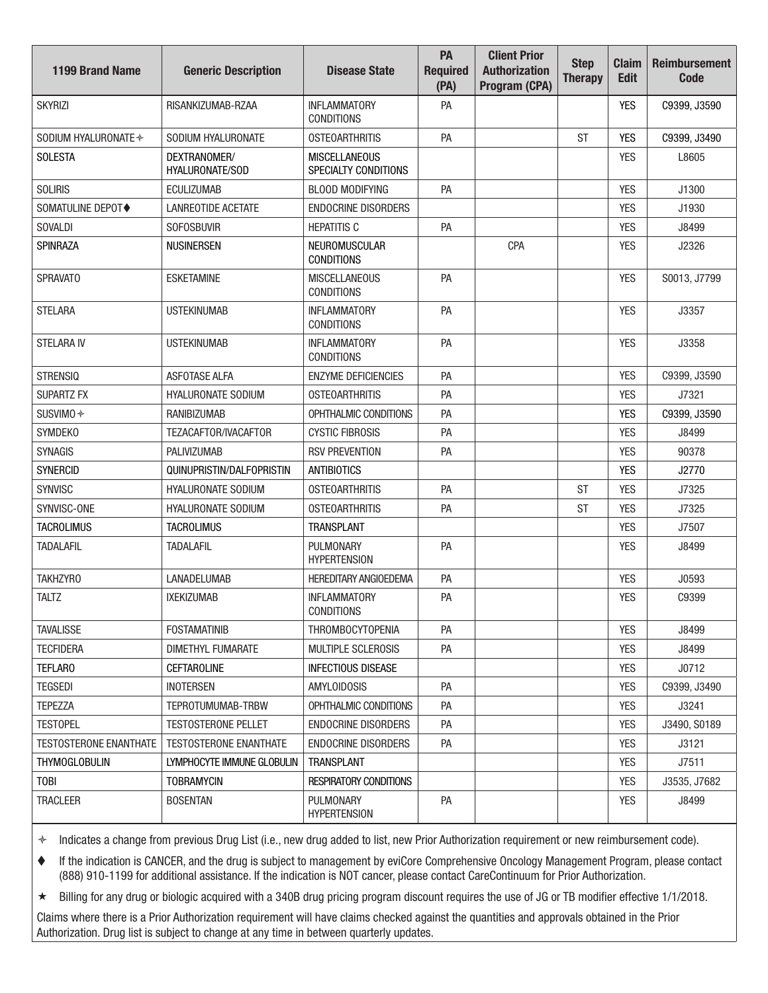| <b>1199 Brand Name</b> | <b>Generic Description</b>             | <b>Disease State</b>                         | PA<br><b>Required</b><br>(PA) | <b>Client Prior</b><br><b>Authorization</b><br>Program (CPA) | <b>Step</b><br><b>Therapy</b> | <b>Claim</b><br><b>Edit</b> | <b>Reimbursement</b><br>Code |
|------------------------|----------------------------------------|----------------------------------------------|-------------------------------|--------------------------------------------------------------|-------------------------------|-----------------------------|------------------------------|
| <b>SKYRIZI</b>         | RISANKIZUMAB-RZAA                      | <b>INFLAMMATORY</b><br><b>CONDITIONS</b>     | PA                            |                                                              |                               | YES                         | C9399, J3590                 |
| SODIUM HYALURONATE +   | SODIUM HYALURONATE                     | <b>OSTEOARTHRITIS</b>                        | PA                            |                                                              | <b>ST</b>                     | <b>YES</b>                  | C9399, J3490                 |
| <b>SOLESTA</b>         | DEXTRANOMER/<br><b>HYALURONATE/SOD</b> | <b>MISCELLANEOUS</b><br>SPECIALTY CONDITIONS |                               |                                                              |                               | <b>YES</b>                  | L8605                        |
| <b>SOLIRIS</b>         | <b>FCULIZUMAB</b>                      | <b>BLOOD MODIFYING</b>                       | PA                            |                                                              |                               | <b>YES</b>                  | J1300                        |
| SOMATULINE DEPOT◆      | <b>LANREOTIDE ACETATE</b>              | <b>ENDOCRINE DISORDERS</b>                   |                               |                                                              |                               | <b>YES</b>                  | J1930                        |
| <b>SOVALDI</b>         | <b>SOFOSBUVIR</b>                      | <b>HEPATITIS C</b>                           | PA                            |                                                              |                               | <b>YES</b>                  | J8499                        |
| <b>SPINRAZA</b>        | <b>NUSINERSEN</b>                      | NEUROMUSCULAR<br><b>CONDITIONS</b>           |                               | CPA                                                          |                               | <b>YES</b>                  | J2326                        |
| <b>SPRAVATO</b>        | <b>ESKETAMINE</b>                      | <b>MISCELLANEOUS</b><br><b>CONDITIONS</b>    | PA                            |                                                              |                               | <b>YES</b>                  | S0013, J7799                 |
| <b>STELARA</b>         | <b>USTEKINUMAB</b>                     | <b>INFLAMMATORY</b><br><b>CONDITIONS</b>     | PA                            |                                                              |                               | <b>YES</b>                  | J3357                        |
| <b>STELARA IV</b>      | <b>USTEKINUMAB</b>                     | <b>INFLAMMATORY</b><br><b>CONDITIONS</b>     | PA                            |                                                              |                               | <b>YES</b>                  | J3358                        |
| <b>STRENSIQ</b>        | <b>ASFOTASE ALFA</b>                   | <b>ENZYME DEFICIENCIES</b>                   | PA                            |                                                              |                               | <b>YES</b>                  | C9399, J3590                 |
| <b>SUPARTZ FX</b>      | <b>HYALURONATE SODIUM</b>              | <b>OSTEOARTHRITIS</b>                        | PA                            |                                                              |                               | <b>YES</b>                  | J7321                        |
| SUSVIMO <sup>+</sup>   | <b>RANIBIZUMAB</b>                     | OPHTHALMIC CONDITIONS                        | PA                            |                                                              |                               | <b>YES</b>                  | C9399, J3590                 |
| <b>SYMDEKO</b>         | TEZACAFTOR/IVACAFTOR                   | <b>CYSTIC FIBROSIS</b>                       | PA                            |                                                              |                               | <b>YES</b>                  | J8499                        |
| <b>SYNAGIS</b>         | <b>PALIVIZUMAB</b>                     | <b>RSV PREVENTION</b>                        | PA                            |                                                              |                               | <b>YES</b>                  | 90378                        |
| <b>SYNERCID</b>        | QUINUPRISTIN/DALFOPRISTIN              | <b>ANTIBIOTICS</b>                           |                               |                                                              |                               | <b>YES</b>                  | J2770                        |
| <b>SYNVISC</b>         | <b>HYALURONATE SODIUM</b>              | <b>OSTEOARTHRITIS</b>                        | PA                            |                                                              | <b>ST</b>                     | <b>YES</b>                  | J7325                        |
| SYNVISC-ONE            | <b>HYALURONATE SODIUM</b>              | <b>OSTEOARTHRITIS</b>                        | PA                            |                                                              | <b>ST</b>                     | <b>YES</b>                  | J7325                        |
| <b>TACROLIMUS</b>      | <b>TACROLIMUS</b>                      | <b>TRANSPLANT</b>                            |                               |                                                              |                               | <b>YES</b>                  | J7507                        |
| <b>TADALAFIL</b>       | <b>TADALAFIL</b>                       | PULMONARY<br><b>HYPERTENSION</b>             | PA                            |                                                              |                               | <b>YES</b>                  | J8499                        |
| <b>TAKHZYRO</b>        | <b>LANADELUMAB</b>                     | <b>HEREDITARY ANGIOEDEMA</b>                 | PA                            |                                                              |                               | <b>YES</b>                  | J0593                        |
| <b>TALTZ</b>           | <b>IXEKIZUMAB</b>                      | <b>INFLAMMATORY</b><br><b>CONDITIONS</b>     | PA                            |                                                              |                               | <b>YES</b>                  | C9399                        |
| <b>TAVALISSE</b>       | <b>FOSTAMATINIB</b>                    | <b>THROMBOCYTOPENIA</b>                      | PA                            |                                                              |                               | <b>YES</b>                  | J8499                        |
| <b>TECFIDERA</b>       | DIMETHYL FUMARATE                      | MULTIPLE SCLEROSIS                           | PA                            |                                                              |                               | <b>YES</b>                  | J8499                        |
| <b>TEFLARO</b>         | <b>CEFTAROLINE</b>                     | <b>INFECTIOUS DISEASE</b>                    |                               |                                                              |                               | <b>YES</b>                  | J0712                        |
| <b>TEGSEDI</b>         | <b>INOTERSEN</b>                       | <b>AMYLOIDOSIS</b>                           | PA                            |                                                              |                               | YES                         | C9399, J3490                 |
| <b>TEPEZZA</b>         | TEPROTUMUMAB-TRBW                      | OPHTHALMIC CONDITIONS                        | PA                            |                                                              |                               | <b>YES</b>                  | J3241                        |
| <b>TESTOPEL</b>        | <b>TESTOSTERONE PELLET</b>             | <b>ENDOCRINE DISORDERS</b>                   | PA                            |                                                              |                               | <b>YES</b>                  | J3490, S0189                 |
| TESTOSTERONE ENANTHATE | <b>TESTOSTERONE ENANTHATE</b>          | ENDOCRINE DISORDERS                          | PA                            |                                                              |                               | YES                         | J3121                        |
| <b>THYMOGLOBULIN</b>   | LYMPHOCYTE IMMUNE GLOBULIN             | <b>TRANSPLANT</b>                            |                               |                                                              |                               | YES                         | J7511                        |
| <b>TOBI</b>            | <b>TOBRAMYCIN</b>                      | <b>RESPIRATORY CONDITIONS</b>                |                               |                                                              |                               | <b>YES</b>                  | J3535, J7682                 |
| <b>TRACLEER</b>        | <b>BOSENTAN</b>                        | <b>PULMONARY</b><br><b>HYPERTENSION</b>      | PA                            |                                                              |                               | YES                         | J8499                        |

 If the indication is CANCER, and the drug is subject to management by eviCore Comprehensive Oncology Management Program, please contact (888) 910-1199 for additional assistance. If the indication is NOT cancer, please contact CareContinuum for Prior Authorization.

Billing for any drug or biologic acquired with a 340B drug pricing program discount requires the use of JG or TB modifier effective 1/1/2018.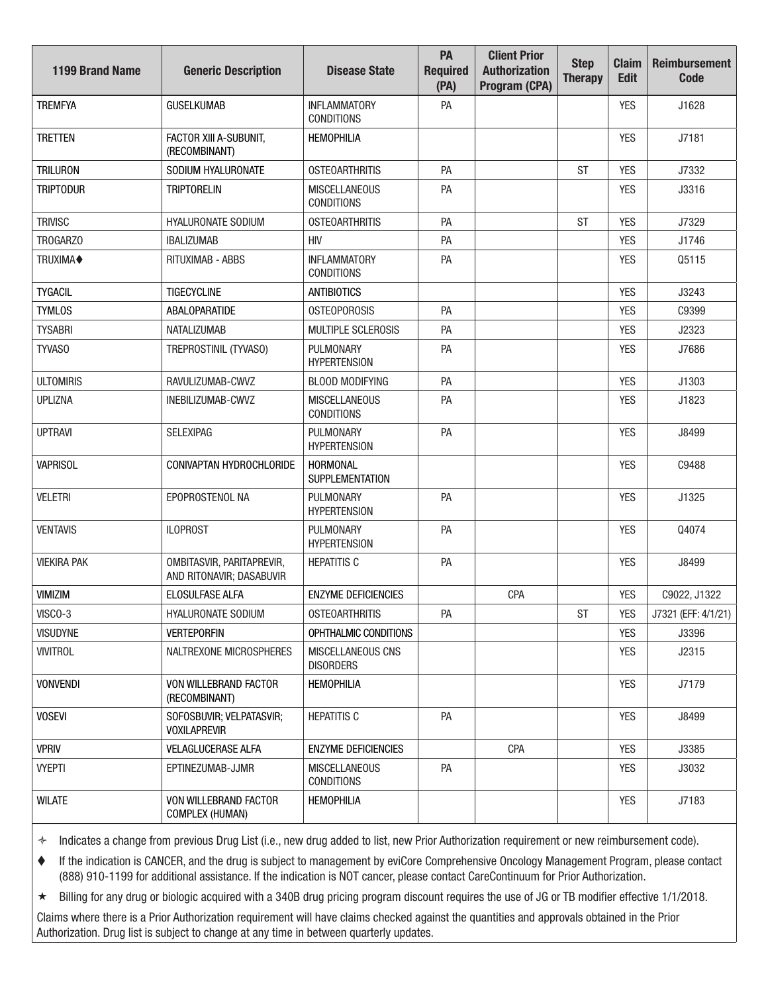| <b>1199 Brand Name</b> | <b>Generic Description</b>                            | <b>Disease State</b>                      | PA<br><b>Required</b><br>(PA) | <b>Client Prior</b><br><b>Authorization</b><br>Program (CPA) | <b>Step</b><br><b>Therapy</b> | <b>Claim</b><br><b>Edit</b> | <b>Reimbursement</b><br><b>Code</b> |
|------------------------|-------------------------------------------------------|-------------------------------------------|-------------------------------|--------------------------------------------------------------|-------------------------------|-----------------------------|-------------------------------------|
| <b>TREMFYA</b>         | <b>GUSELKUMAB</b>                                     | <b>INFLAMMATORY</b><br><b>CONDITIONS</b>  | PA                            |                                                              |                               | <b>YES</b>                  | J1628                               |
| <b>TRETTEN</b>         | FACTOR XIII A-SUBUNIT,<br>(RECOMBINANT)               | <b>HEMOPHILIA</b>                         |                               |                                                              |                               | <b>YES</b>                  | J7181                               |
| <b>TRILURON</b>        | SODIUM HYALURONATE                                    | <b>OSTEOARTHRITIS</b>                     | PA                            |                                                              | <b>ST</b>                     | <b>YES</b>                  | J7332                               |
| <b>TRIPTODUR</b>       | <b>TRIPTORELIN</b>                                    | <b>MISCELLANEOUS</b><br><b>CONDITIONS</b> | PA                            |                                                              |                               | <b>YES</b>                  | J3316                               |
| <b>TRIVISC</b>         | <b>HYALURONATE SODIUM</b>                             | <b>OSTEOARTHRITIS</b>                     | PA                            |                                                              | <b>ST</b>                     | <b>YES</b>                  | J7329                               |
| TROGARZO               | <b>IBALIZUMAB</b>                                     | <b>HIV</b>                                | PA                            |                                                              |                               | <b>YES</b>                  | J1746                               |
| TRUXIMA <sup>+</sup>   | <b>RITUXIMAB - ABBS</b>                               | <b>INFLAMMATORY</b><br><b>CONDITIONS</b>  | PA                            |                                                              |                               | <b>YES</b>                  | Q5115                               |
| <b>TYGACIL</b>         | TIGECYCLINE                                           | <b>ANTIBIOTICS</b>                        |                               |                                                              |                               | <b>YES</b>                  | J3243                               |
| <b>TYMLOS</b>          | <b>ABALOPARATIDE</b>                                  | <b>OSTEOPOROSIS</b>                       | PA                            |                                                              |                               | <b>YES</b>                  | C9399                               |
| <b>TYSABRI</b>         | <b>NATALIZUMAB</b>                                    | MULTIPLE SCLEROSIS                        | PA                            |                                                              |                               | <b>YES</b>                  | J2323                               |
| TYVAS0                 | TREPROSTINIL (TYVASO)                                 | PULMONARY<br><b>HYPERTENSION</b>          | PA                            |                                                              |                               | <b>YES</b>                  | J7686                               |
| <b>ULTOMIRIS</b>       | RAVULIZUMAB-CWVZ                                      | <b>BLOOD MODIFYING</b>                    | PA                            |                                                              |                               | <b>YES</b>                  | J1303                               |
| <b>UPLIZNA</b>         | INEBILIZUMAB-CWVZ                                     | <b>MISCELLANEOUS</b><br><b>CONDITIONS</b> | PA                            |                                                              |                               | <b>YES</b>                  | J1823                               |
| <b>UPTRAVI</b>         | <b>SELEXIPAG</b>                                      | PULMONARY<br><b>HYPERTENSION</b>          | PA                            |                                                              |                               | <b>YES</b>                  | J8499                               |
| <b>VAPRISOL</b>        | CONIVAPTAN HYDROCHLORIDE                              | HORMONAL<br><b>SUPPLEMENTATION</b>        |                               |                                                              |                               | <b>YES</b>                  | C9488                               |
| <b>VELETRI</b>         | EPOPROSTENOL NA                                       | PULMONARY<br><b>HYPERTENSION</b>          | PA                            |                                                              |                               | <b>YES</b>                  | J1325                               |
| <b>VENTAVIS</b>        | <b>ILOPROST</b>                                       | PULMONARY<br><b>HYPERTENSION</b>          | PA                            |                                                              |                               | <b>YES</b>                  | Q4074                               |
| <b>VIEKIRA PAK</b>     | OMBITASVIR, PARITAPREVIR,<br>AND RITONAVIR; DASABUVIR | <b>HEPATITIS C</b>                        | PA                            |                                                              |                               | <b>YES</b>                  | J8499                               |
| VIMIZIM                | ELOSULFASE ALFA                                       | <b>ENZYME DEFICIENCIES</b>                |                               | CPA                                                          |                               | <b>YES</b>                  | C9022, J1322                        |
| VISCO-3                | HYALURONATE SODIUM                                    | <b>OSTEOARTHRITIS</b>                     | PA                            |                                                              | <b>ST</b>                     | <b>YES</b>                  | J7321 (EFF: 4/1/21)                 |
| <b>VISUDYNE</b>        | <b>VERTEPORFIN</b>                                    | OPHTHALMIC CONDITIONS                     |                               |                                                              |                               | <b>YES</b>                  | J3396                               |
| <b>VIVITROL</b>        | NALTREXONE MICROSPHERES                               | MISCELLANEOUS CNS<br><b>DISORDERS</b>     |                               |                                                              |                               | <b>YES</b>                  | J2315                               |
| <b>VONVENDI</b>        | VON WILLEBRAND FACTOR<br>(RECOMBINANT)                | <b>HEMOPHILIA</b>                         |                               |                                                              |                               | <b>YES</b>                  | J7179                               |
| <b>VOSEVI</b>          | SOFOSBUVIR; VELPATASVIR;<br><b>VOXILAPREVIR</b>       | <b>HEPATITIS C</b>                        | PA                            |                                                              |                               | <b>YES</b>                  | J8499                               |
| <b>VPRIV</b>           | <b>VELAGLUCERASE ALFA</b>                             | <b>ENZYME DEFICIENCIES</b>                |                               | CPA                                                          |                               | <b>YES</b>                  | J3385                               |
| <b>VYEPTI</b>          | EPTINEZUMAB-JJMR                                      | <b>MISCELLANEOUS</b><br><b>CONDITIONS</b> | PA                            |                                                              |                               | <b>YES</b>                  | J3032                               |
| <b>WILATE</b>          | VON WILLEBRAND FACTOR<br><b>COMPLEX (HUMAN)</b>       | <b>HEMOPHILIA</b>                         |                               |                                                              |                               | <b>YES</b>                  | J7183                               |

 If the indication is CANCER, and the drug is subject to management by eviCore Comprehensive Oncology Management Program, please contact (888) 910-1199 for additional assistance. If the indication is NOT cancer, please contact CareContinuum for Prior Authorization.

★ Billing for any drug or biologic acquired with a 340B drug pricing program discount requires the use of JG or TB modifier effective 1/1/2018.